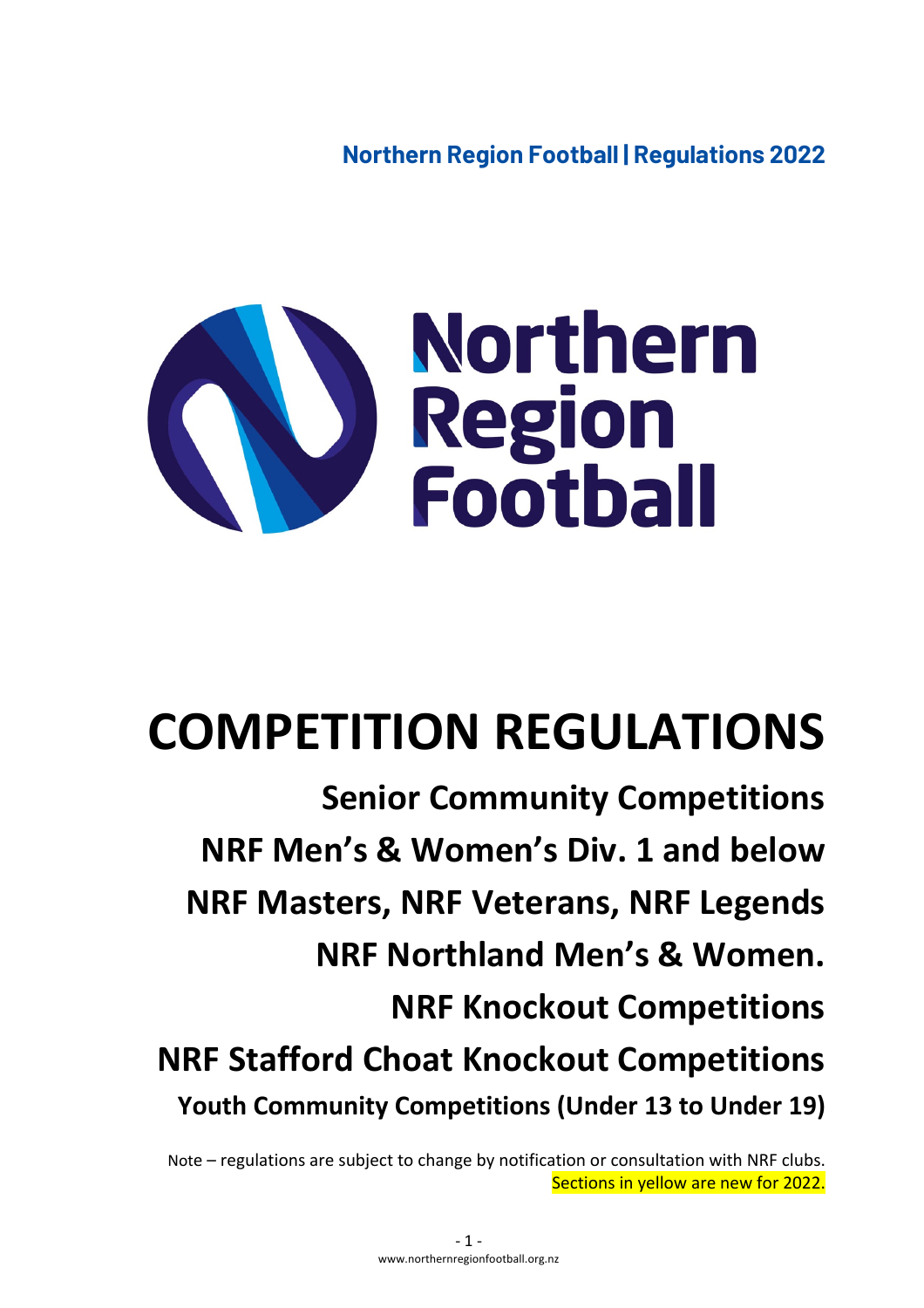**Northern Region Football | Regulations 2022**



# **COMPETITION REGULATIONS**

**Senior Community Competitions NRF Men's & Women's Div. 1 and below NRF Masters, NRF Veterans, NRF Legends NRF Northland Men's & Women. NRF Knockout Competitions NRF Stafford Choat Knockout Competitions Youth Community Competitions (Under 13 to Under 19)**

Note – regulations are subject to change by notification or consultation with NRF clubs. Sections in yellow are new for 2022.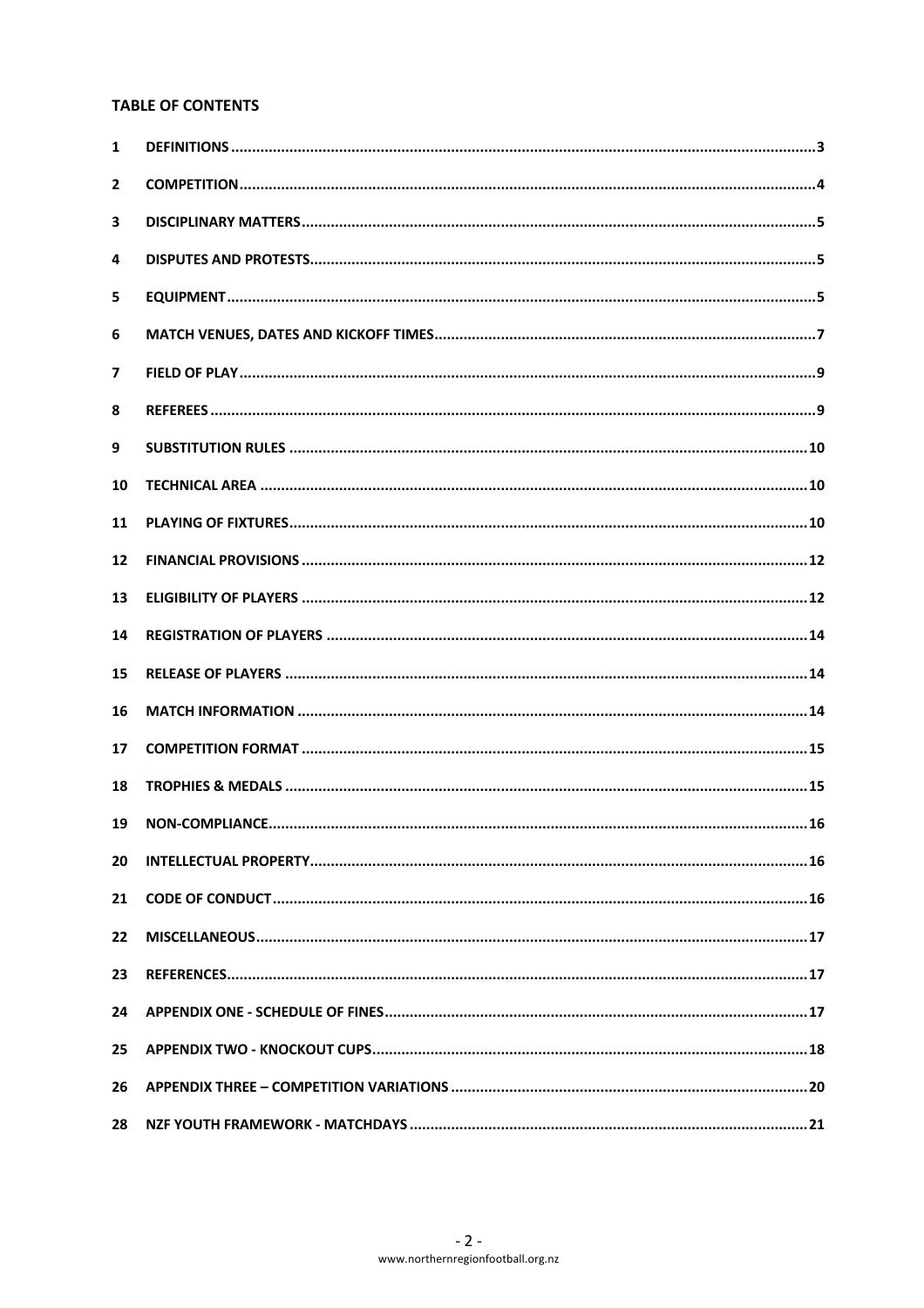# **TABLE OF CONTENTS**

| 1            |  |
|--------------|--|
| $\mathbf{2}$ |  |
| 3            |  |
| 4            |  |
| 5            |  |
| 6            |  |
| 7            |  |
| 8            |  |
| 9            |  |
| 10           |  |
| 11           |  |
| 12           |  |
| 13           |  |
| 14           |  |
| 15           |  |
| 16           |  |
| 17           |  |
| 18           |  |
| 19           |  |
| 20           |  |
| 21           |  |
| 22           |  |
| 23           |  |
| 24           |  |
| 25           |  |
| 26           |  |
| 28           |  |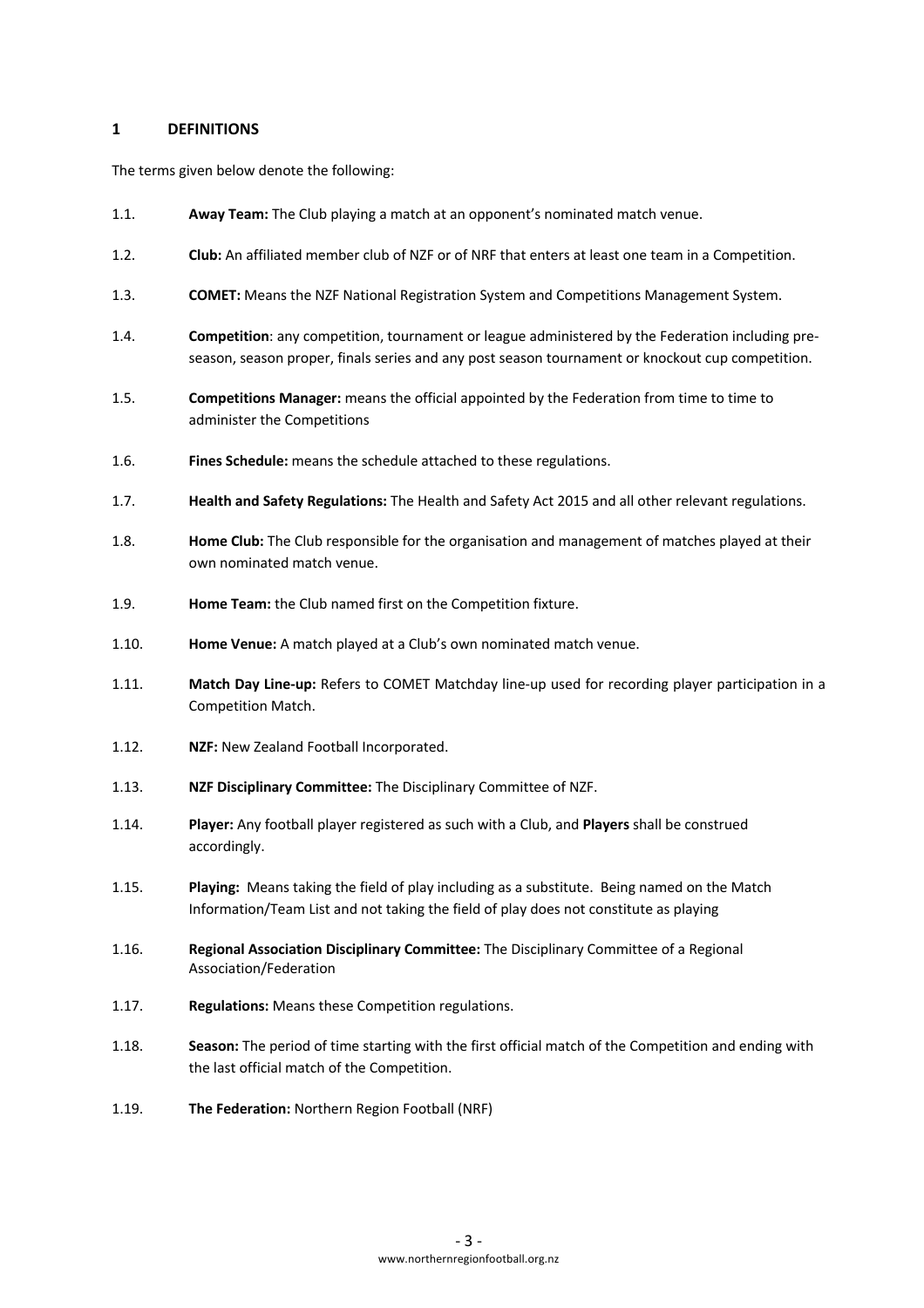### **1 DEFINITIONS**

The terms given below denote the following:

- 1.1. **Away Team:** The Club playing a match at an opponent's nominated match venue.
- 1.2. **Club:** An affiliated member club of NZF or of NRF that enters at least one team in a Competition.
- 1.3. **COMET:** Means the NZF National Registration System and Competitions Management System.
- 1.4. **Competition**: any competition, tournament or league administered by the Federation including preseason, season proper, finals series and any post season tournament or knockout cup competition.
- 1.5. **Competitions Manager:** means the official appointed by the Federation from time to time to administer the Competitions
- 1.6. **Fines Schedule:** means the schedule attached to these regulations.
- 1.7. **Health and Safety Regulations:** The Health and Safety Act 2015 and all other relevant regulations.
- 1.8. **Home Club:** The Club responsible for the organisation and management of matches played at their own nominated match venue.
- 1.9. **Home Team:** the Club named first on the Competition fixture.
- 1.10. **Home Venue:** A match played at a Club's own nominated match venue.
- 1.11. **Match Day Line-up:** Refers to COMET Matchday line-up used for recording player participation in a Competition Match.
- 1.12. **NZF:** New Zealand Football Incorporated.
- 1.13. **NZF Disciplinary Committee:** The Disciplinary Committee of NZF.
- 1.14. **Player:** Any football player registered as such with a Club, and **Players** shall be construed accordingly.
- 1.15. **Playing:** Means taking the field of play including as a substitute. Being named on the Match Information/Team List and not taking the field of play does not constitute as playing
- 1.16. **Regional Association Disciplinary Committee:** The Disciplinary Committee of a Regional Association/Federation
- 1.17. **Regulations:** Means these Competition regulations.
- 1.18. **Season:** The period of time starting with the first official match of the Competition and ending with the last official match of the Competition.
- 1.19. **The Federation:** Northern Region Football (NRF)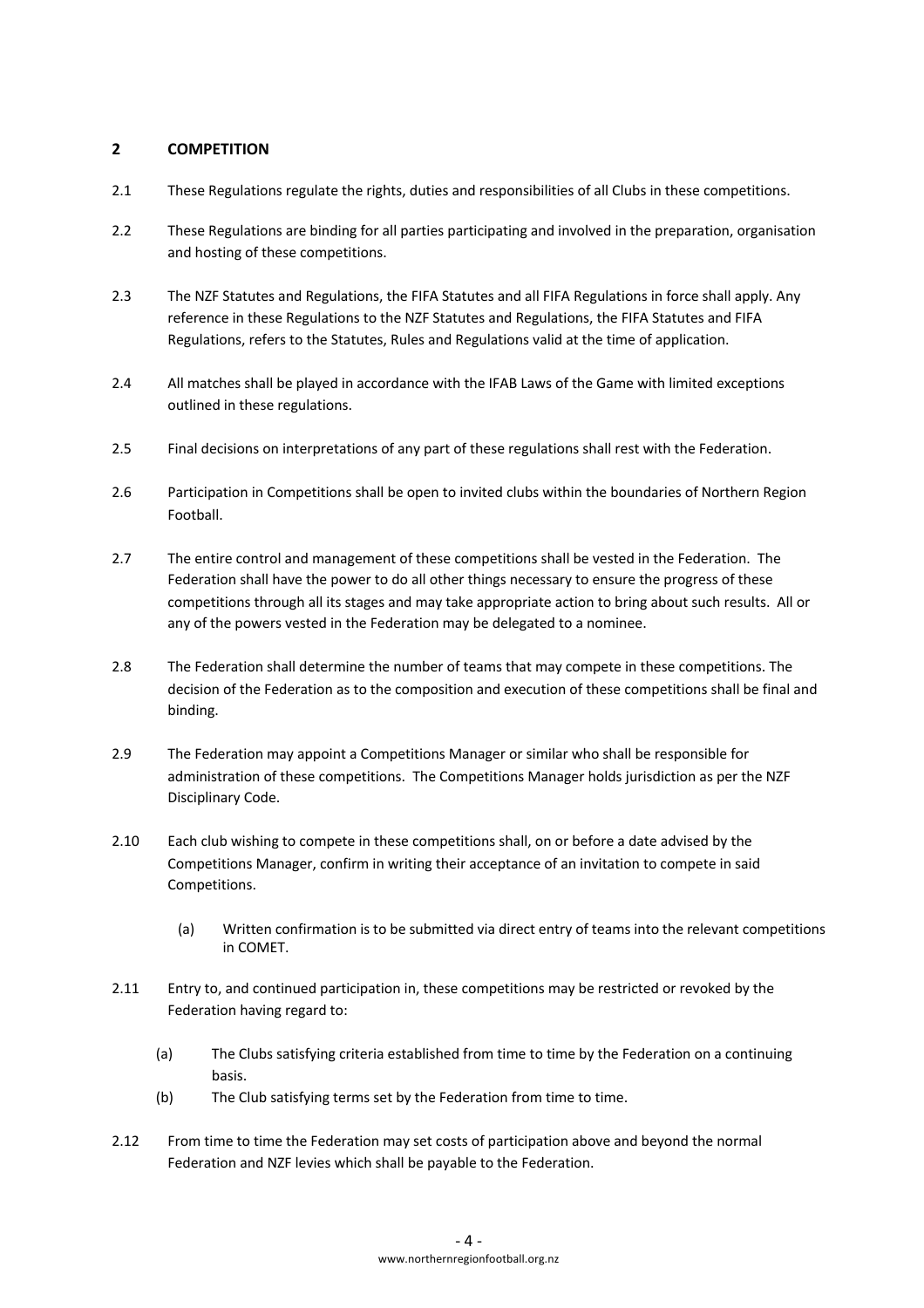## **2 COMPETITION**

- 2.1 These Regulations regulate the rights, duties and responsibilities of all Clubs in these competitions.
- 2.2 These Regulations are binding for all parties participating and involved in the preparation, organisation and hosting of these competitions.
- 2.3 The NZF Statutes and Regulations, the FIFA Statutes and all FIFA Regulations in force shall apply. Any reference in these Regulations to the NZF Statutes and Regulations, the FIFA Statutes and FIFA Regulations, refers to the Statutes, Rules and Regulations valid at the time of application.
- 2.4 All matches shall be played in accordance with the IFAB Laws of the Game with limited exceptions outlined in these regulations.
- 2.5 Final decisions on interpretations of any part of these regulations shall rest with the Federation.
- 2.6 Participation in Competitions shall be open to invited clubs within the boundaries of Northern Region Football.
- 2.7 The entire control and management of these competitions shall be vested in the Federation. The Federation shall have the power to do all other things necessary to ensure the progress of these competitions through all its stages and may take appropriate action to bring about such results. All or any of the powers vested in the Federation may be delegated to a nominee.
- 2.8 The Federation shall determine the number of teams that may compete in these competitions. The decision of the Federation as to the composition and execution of these competitions shall be final and binding.
- 2.9 The Federation may appoint a Competitions Manager or similar who shall be responsible for administration of these competitions. The Competitions Manager holds jurisdiction as per the NZF Disciplinary Code.
- 2.10 Each club wishing to compete in these competitions shall, on or before a date advised by the Competitions Manager, confirm in writing their acceptance of an invitation to compete in said Competitions.
	- (a) Written confirmation is to be submitted via direct entry of teams into the relevant competitions in COMET.
- 2.11 Entry to, and continued participation in, these competitions may be restricted or revoked by the Federation having regard to:
	- (a) The Clubs satisfying criteria established from time to time by the Federation on a continuing basis.
	- (b) The Club satisfying terms set by the Federation from time to time.
- 2.12 From time to time the Federation may set costs of participation above and beyond the normal Federation and NZF levies which shall be payable to the Federation.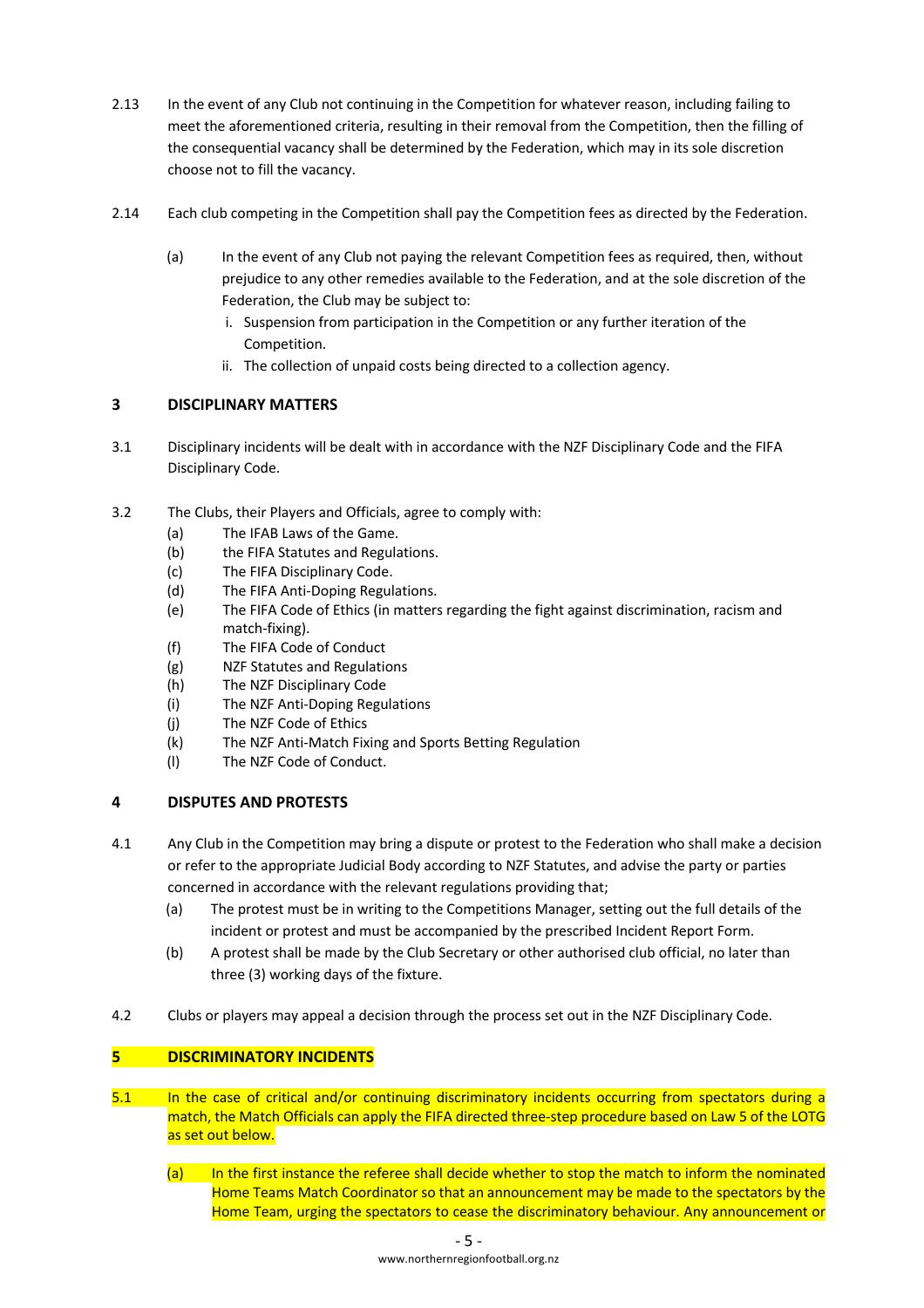- 2.13 In the event of any Club not continuing in the Competition for whatever reason, including failing to meet the aforementioned criteria, resulting in their removal from the Competition, then the filling of the consequential vacancy shall be determined by the Federation, which may in its sole discretion choose not to fill the vacancy.
- 2.14 Each club competing in the Competition shall pay the Competition fees as directed by the Federation.
	- (a) In the event of any Club not paying the relevant Competition fees as required, then, without prejudice to any other remedies available to the Federation, and at the sole discretion of the Federation, the Club may be subject to:
		- i. Suspension from participation in the Competition or any further iteration of the Competition.
		- ii. The collection of unpaid costs being directed to a collection agency.

# **3 DISCIPLINARY MATTERS**

- 3.1 Disciplinary incidents will be dealt with in accordance with the NZF Disciplinary Code and the FIFA Disciplinary Code.
- 3.2 The Clubs, their Players and Officials, agree to comply with:
	- (a) The IFAB Laws of the Game.
	- (b) the FIFA Statutes and Regulations.
	- (c) The FIFA Disciplinary Code.
	- (d) The FIFA Anti-Doping Regulations.
	- (e) The FIFA Code of Ethics (in matters regarding the fight against discrimination, racism and match-fixing).
	- (f) The FIFA Code of Conduct
	- (g) NZF Statutes and Regulations
	- (h) The NZF Disciplinary Code
	- (i) The NZF Anti-Doping Regulations
	- (j) The NZF Code of Ethics
	- (k) The NZF Anti-Match Fixing and Sports Betting Regulation
	- (l) The NZF Code of Conduct.

## **4 DISPUTES AND PROTESTS**

- 4.1 Any Club in the Competition may bring a dispute or protest to the Federation who shall make a decision or refer to the appropriate Judicial Body according to NZF Statutes, and advise the party or parties concerned in accordance with the relevant regulations providing that;
	- (a) The protest must be in writing to the Competitions Manager, setting out the full details of the incident or protest and must be accompanied by the prescribed Incident Report Form.
	- (b) A protest shall be made by the Club Secretary or other authorised club official, no later than three (3) working days of the fixture.
- 4.2 Clubs or players may appeal a decision through the process set out in the NZF Disciplinary Code.

# **5 DISCRIMINATORY INCIDENTS**

- 5.1 In the case of critical and/or continuing discriminatory incidents occurring from spectators during a match, the Match Officials can apply the FIFA directed three-step procedure based on Law 5 of the LOTG as set out below.
	- (a) In the first instance the referee shall decide whether to stop the match to inform the nominated Home Teams Match Coordinator so that an announcement may be made to the spectators by the Home Team, urging the spectators to cease the discriminatory behaviour. Any announcement or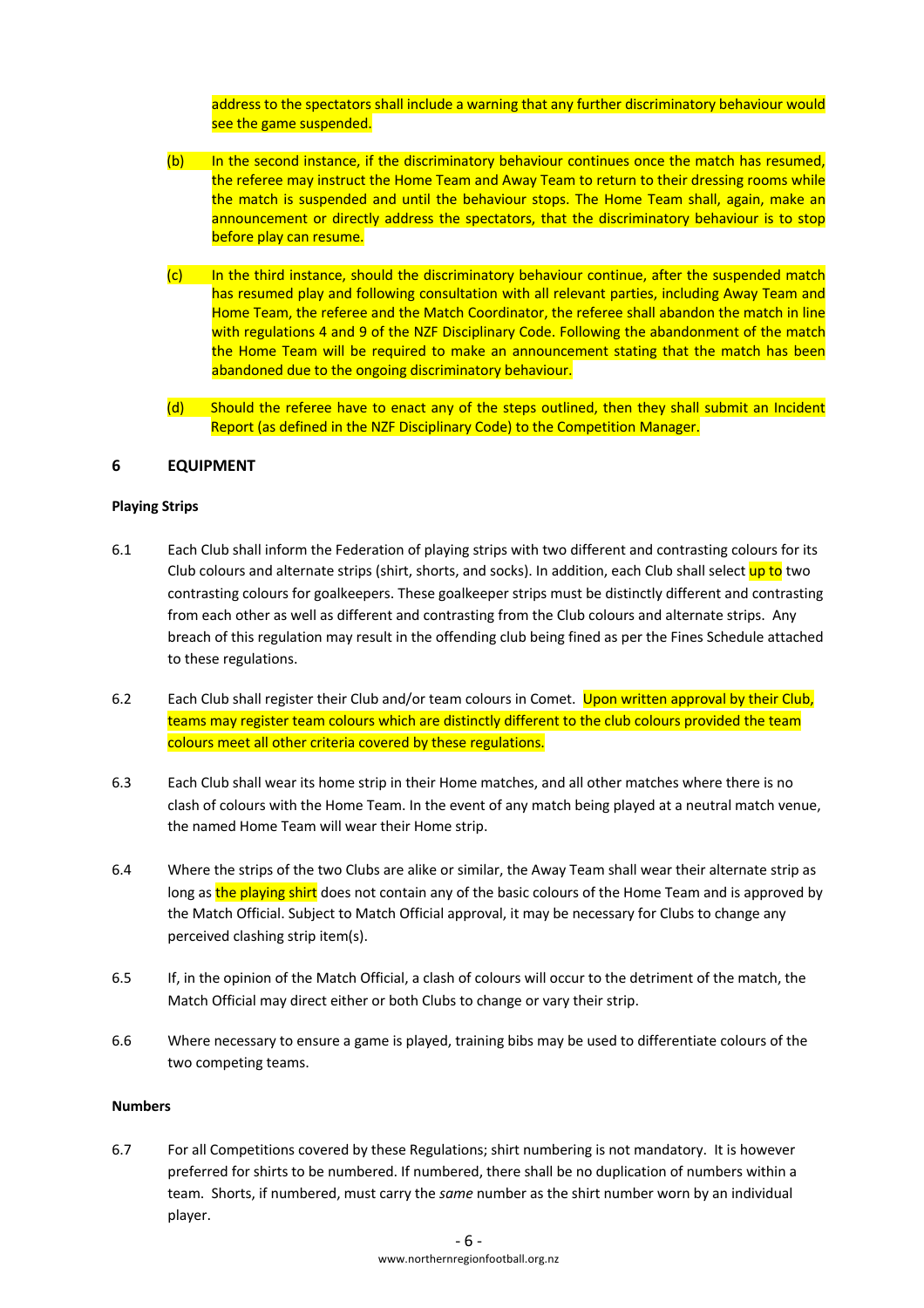address to the spectators shall include a warning that any further discriminatory behaviour would see the game suspended.

- (b) In the second instance, if the discriminatory behaviour continues once the match has resumed, the referee may instruct the Home Team and Away Team to return to their dressing rooms while the match is suspended and until the behaviour stops. The Home Team shall, again, make an announcement or directly address the spectators, that the discriminatory behaviour is to stop before play can resume.
- (c) In the third instance, should the discriminatory behaviour continue, after the suspended match has resumed play and following consultation with all relevant parties, including Away Team and Home Team, the referee and the Match Coordinator, the referee shall abandon the match in line with regulations 4 and 9 of the NZF Disciplinary Code. Following the abandonment of the match the Home Team will be required to make an announcement stating that the match has been abandoned due to the ongoing discriminatory behaviour.
- (d) Should the referee have to enact any of the steps outlined, then they shall submit an Incident Report (as defined in the NZF Disciplinary Code) to the Competition Manager.

## **6 EQUIPMENT**

#### **Playing Strips**

- 6.1 Each Club shall inform the Federation of playing strips with two different and contrasting colours for its Club colours and alternate strips (shirt, shorts, and socks). In addition, each Club shall select up to two contrasting colours for goalkeepers. These goalkeeper strips must be distinctly different and contrasting from each other as well as different and contrasting from the Club colours and alternate strips. Any breach of this regulation may result in the offending club being fined as per the Fines Schedule attached to these regulations.
- 6.2 Each Club shall register their Club and/or team colours in Comet. Upon written approval by their Club, teams may register team colours which are distinctly different to the club colours provided the team colours meet all other criteria covered by these regulations.
- 6.3 Each Club shall wear its home strip in their Home matches, and all other matches where there is no clash of colours with the Home Team. In the event of any match being played at a neutral match venue, the named Home Team will wear their Home strip.
- 6.4 Where the strips of the two Clubs are alike or similar, the Away Team shall wear their alternate strip as long as the playing shirt does not contain any of the basic colours of the Home Team and is approved by the Match Official. Subject to Match Official approval, it may be necessary for Clubs to change any perceived clashing strip item(s).
- 6.5 If, in the opinion of the Match Official, a clash of colours will occur to the detriment of the match, the Match Official may direct either or both Clubs to change or vary their strip.
- 6.6 Where necessary to ensure a game is played, training bibs may be used to differentiate colours of the two competing teams.

#### **Numbers**

6.7 For all Competitions covered by these Regulations; shirt numbering is not mandatory. It is however preferred for shirts to be numbered. If numbered, there shall be no duplication of numbers within a team. Shorts, if numbered, must carry the *same* number as the shirt number worn by an individual player.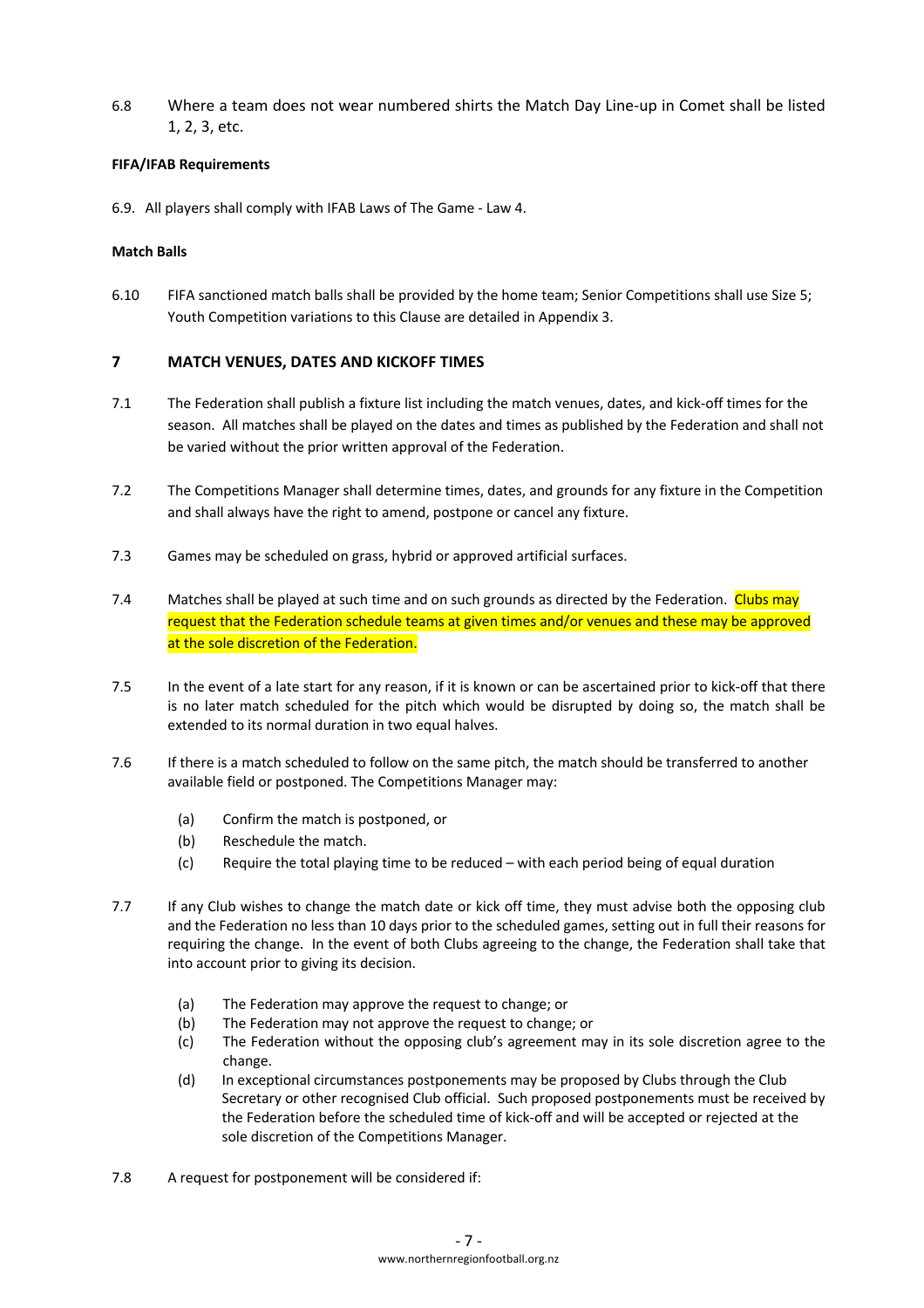6.8 Where a team does not wear numbered shirts the Match Day Line-up in Comet shall be listed 1, 2, 3, etc.

### **FIFA/IFAB Requirements**

6.9. All players shall comply with IFAB Laws of The Game - Law 4.

### **Match Balls**

6.10 FIFA sanctioned match balls shall be provided by the home team; Senior Competitions shall use Size 5; Youth Competition variations to this Clause are detailed in Appendix 3.

## **7 MATCH VENUES, DATES AND KICKOFF TIMES**

- 7.1 The Federation shall publish a fixture list including the match venues, dates, and kick-off times for the season. All matches shall be played on the dates and times as published by the Federation and shall not be varied without the prior written approval of the Federation.
- 7.2 The Competitions Manager shall determine times, dates, and grounds for any fixture in the Competition and shall always have the right to amend, postpone or cancel any fixture.
- 7.3 Games may be scheduled on grass, hybrid or approved artificial surfaces.
- 7.4 Matches shall be played at such time and on such grounds as directed by the Federation. Clubs may request that the Federation schedule teams at given times and/or venues and these may be approved at the sole discretion of the Federation.
- 7.5 In the event of a late start for any reason, if it is known or can be ascertained prior to kick-off that there is no later match scheduled for the pitch which would be disrupted by doing so, the match shall be extended to its normal duration in two equal halves.
- 7.6 If there is a match scheduled to follow on the same pitch, the match should be transferred to another available field or postponed. The Competitions Manager may:
	- (a) Confirm the match is postponed, or
	- (b) Reschedule the match.
	- (c) Require the total playing time to be reduced with each period being of equal duration
- 7.7 If any Club wishes to change the match date or kick off time, they must advise both the opposing club and the Federation no less than 10 days prior to the scheduled games, setting out in full their reasons for requiring the change. In the event of both Clubs agreeing to the change, the Federation shall take that into account prior to giving its decision.
	- (a) The Federation may approve the request to change; or
	- (b) The Federation may not approve the request to change; or
	- (c) The Federation without the opposing club's agreement may in its sole discretion agree to the change.
	- (d) In exceptional circumstances postponements may be proposed by Clubs through the Club Secretary or other recognised Club official. Such proposed postponements must be received by the Federation before the scheduled time of kick-off and will be accepted or rejected at the sole discretion of the Competitions Manager.
- 7.8 A request for postponement will be considered if: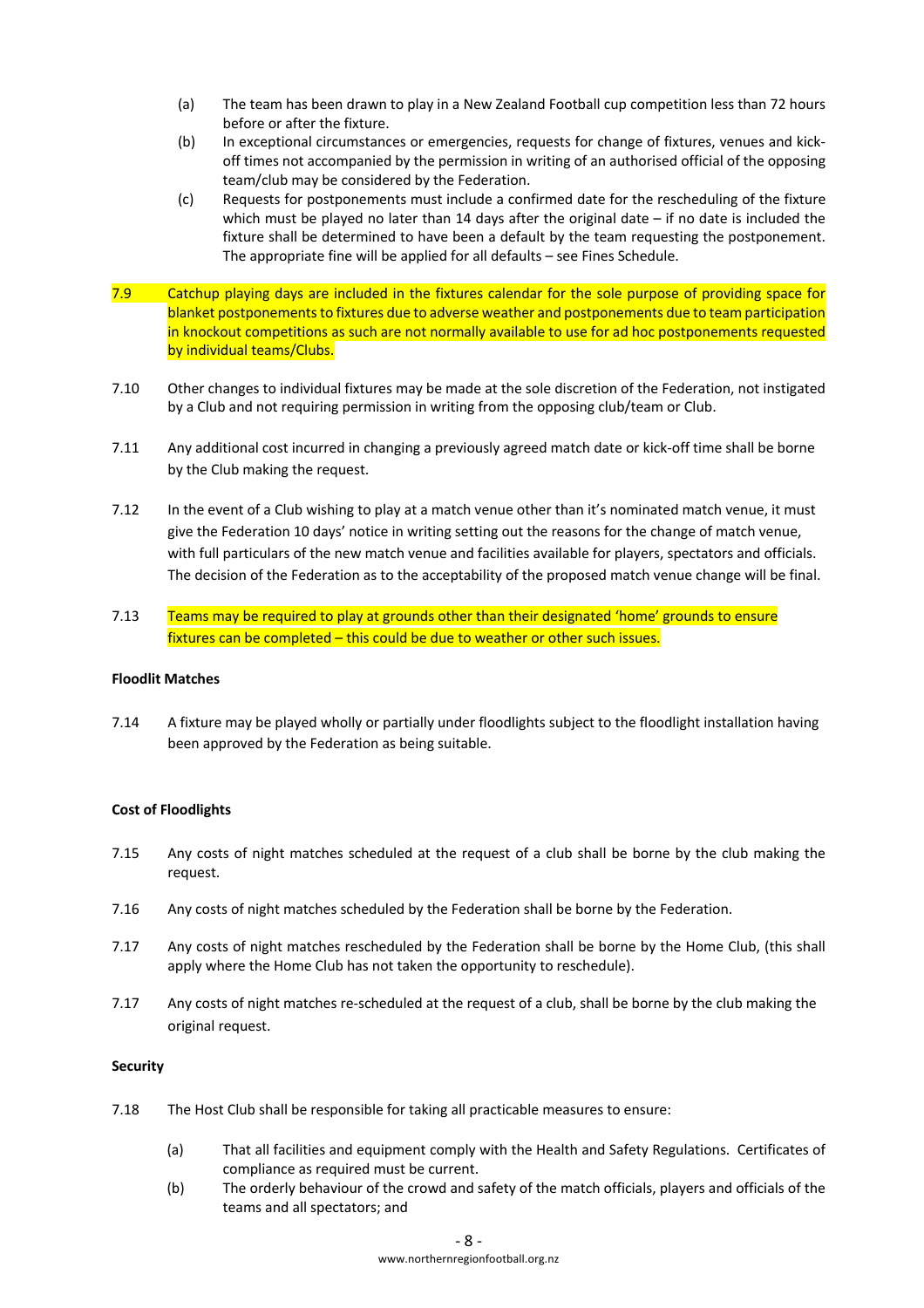- (a) The team has been drawn to play in a New Zealand Football cup competition less than 72 hours before or after the fixture.
- (b) In exceptional circumstances or emergencies, requests for change of fixtures, venues and kickoff times not accompanied by the permission in writing of an authorised official of the opposing team/club may be considered by the Federation.
- (c) Requests for postponements must include a confirmed date for the rescheduling of the fixture which must be played no later than 14 days after the original date – if no date is included the fixture shall be determined to have been a default by the team requesting the postponement. The appropriate fine will be applied for all defaults – see Fines Schedule.
- 7.9 Catchup playing days are included in the fixtures calendar for the sole purpose of providing space for blanket postponements to fixtures due to adverse weather and postponements due to team participation in knockout competitions as such are not normally available to use for ad hoc postponements requested by individual teams/Clubs.
- 7.10 Other changes to individual fixtures may be made at the sole discretion of the Federation, not instigated by a Club and not requiring permission in writing from the opposing club/team or Club.
- 7.11 Any additional cost incurred in changing a previously agreed match date or kick-off time shall be borne by the Club making the request.
- 7.12 In the event of a Club wishing to play at a match venue other than it's nominated match venue, it must give the Federation 10 days' notice in writing setting out the reasons for the change of match venue, with full particulars of the new match venue and facilities available for players, spectators and officials. The decision of the Federation as to the acceptability of the proposed match venue change will be final.
- 7.13 Teams may be required to play at grounds other than their designated 'home' grounds to ensure fixtures can be completed – this could be due to weather or other such issues.

#### **Floodlit Matches**

7.14 A fixture may be played wholly or partially under floodlights subject to the floodlight installation having been approved by the Federation as being suitable.

#### **Cost of Floodlights**

- 7.15 Any costs of night matches scheduled at the request of a club shall be borne by the club making the request.
- 7.16 Any costs of night matches scheduled by the Federation shall be borne by the Federation.
- 7.17 Any costs of night matches rescheduled by the Federation shall be borne by the Home Club, (this shall apply where the Home Club has not taken the opportunity to reschedule).
- 7.17 Any costs of night matches re-scheduled at the request of a club, shall be borne by the club making the original request.

#### **Security**

- 7.18 The Host Club shall be responsible for taking all practicable measures to ensure:
	- (a) That all facilities and equipment comply with the Health and Safety Regulations. Certificates of compliance as required must be current.
	- (b) The orderly behaviour of the crowd and safety of the match officials, players and officials of the teams and all spectators; and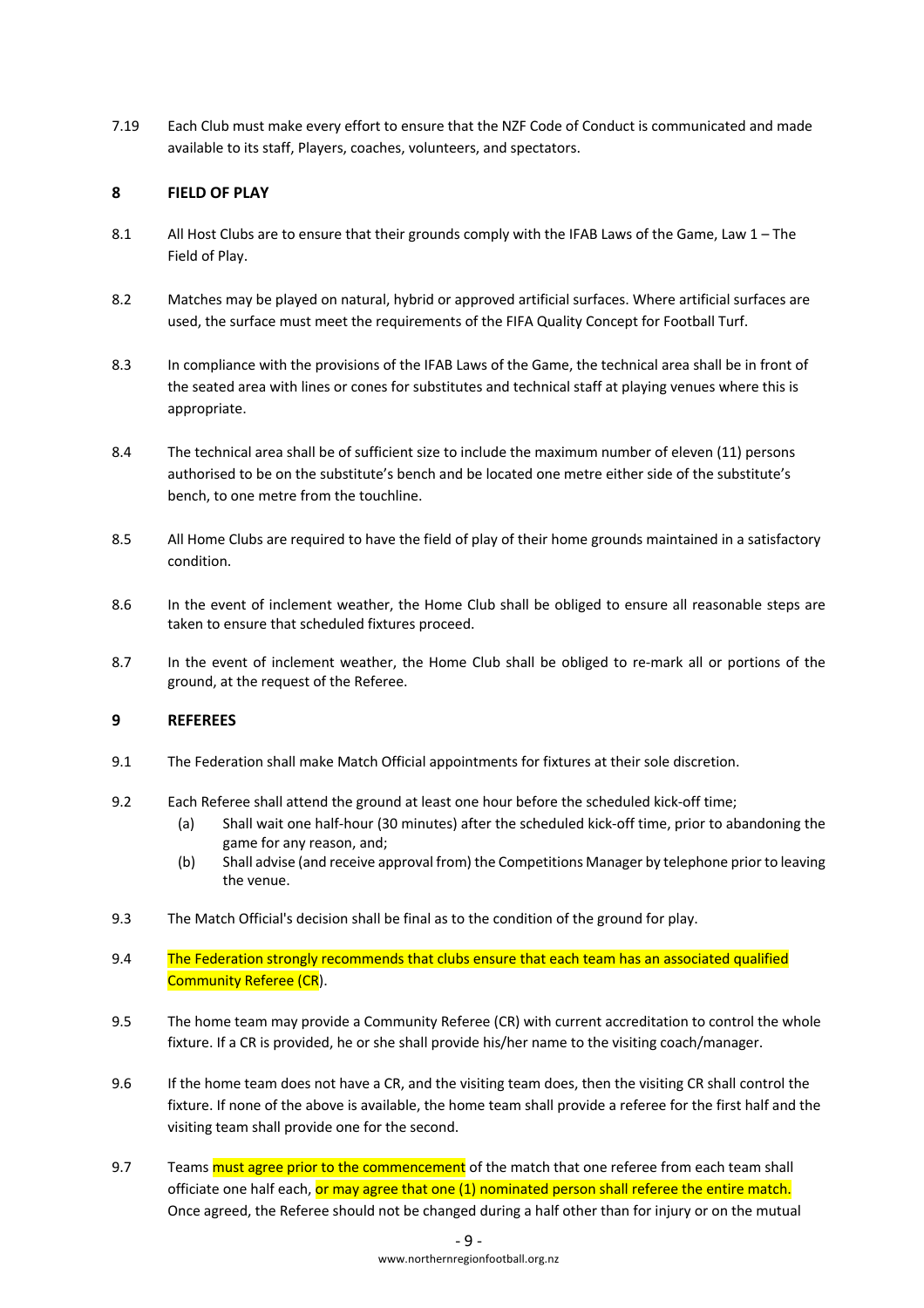7.19 Each Club must make every effort to ensure that the NZF Code of Conduct is communicated and made available to its staff, Players, coaches, volunteers, and spectators.

## **8 FIELD OF PLAY**

- 8.1 All Host Clubs are to ensure that their grounds comply with the IFAB Laws of the Game, Law 1 The Field of Play.
- 8.2 Matches may be played on natural, hybrid or approved artificial surfaces. Where artificial surfaces are used, the surface must meet the requirements of the FIFA Quality Concept for Football Turf.
- 8.3 In compliance with the provisions of the IFAB Laws of the Game, the technical area shall be in front of the seated area with lines or cones for substitutes and technical staff at playing venues where this is appropriate.
- 8.4 The technical area shall be of sufficient size to include the maximum number of eleven (11) persons authorised to be on the substitute's bench and be located one metre either side of the substitute's bench, to one metre from the touchline.
- 8.5 All Home Clubs are required to have the field of play of their home grounds maintained in a satisfactory condition.
- 8.6 In the event of inclement weather, the Home Club shall be obliged to ensure all reasonable steps are taken to ensure that scheduled fixtures proceed.
- 8.7 In the event of inclement weather, the Home Club shall be obliged to re-mark all or portions of the ground, at the request of the Referee.

## **9 REFEREES**

- 9.1 The Federation shall make Match Official appointments for fixtures at their sole discretion.
- 9.2 Each Referee shall attend the ground at least one hour before the scheduled kick-off time;
	- (a) Shall wait one half-hour (30 minutes) after the scheduled kick-off time, prior to abandoning the game for any reason, and;
	- (b) Shall advise (and receive approval from) the Competitions Manager by telephone prior to leaving the venue.
- 9.3 The Match Official's decision shall be final as to the condition of the ground for play.
- 9.4 The Federation strongly recommends that clubs ensure that each team has an associated qualified Community Referee (CR).
- 9.5 The home team may provide a Community Referee (CR) with current accreditation to control the whole fixture. If a CR is provided, he or she shall provide his/her name to the visiting coach/manager.
- 9.6 If the home team does not have a CR, and the visiting team does, then the visiting CR shall control the fixture. If none of the above is available, the home team shall provide a referee for the first half and the visiting team shall provide one for the second.
- 9.7 Teams must agree prior to the commencement of the match that one referee from each team shall officiate one half each, or may agree that one (1) nominated person shall referee the entire match. Once agreed, the Referee should not be changed during a half other than for injury or on the mutual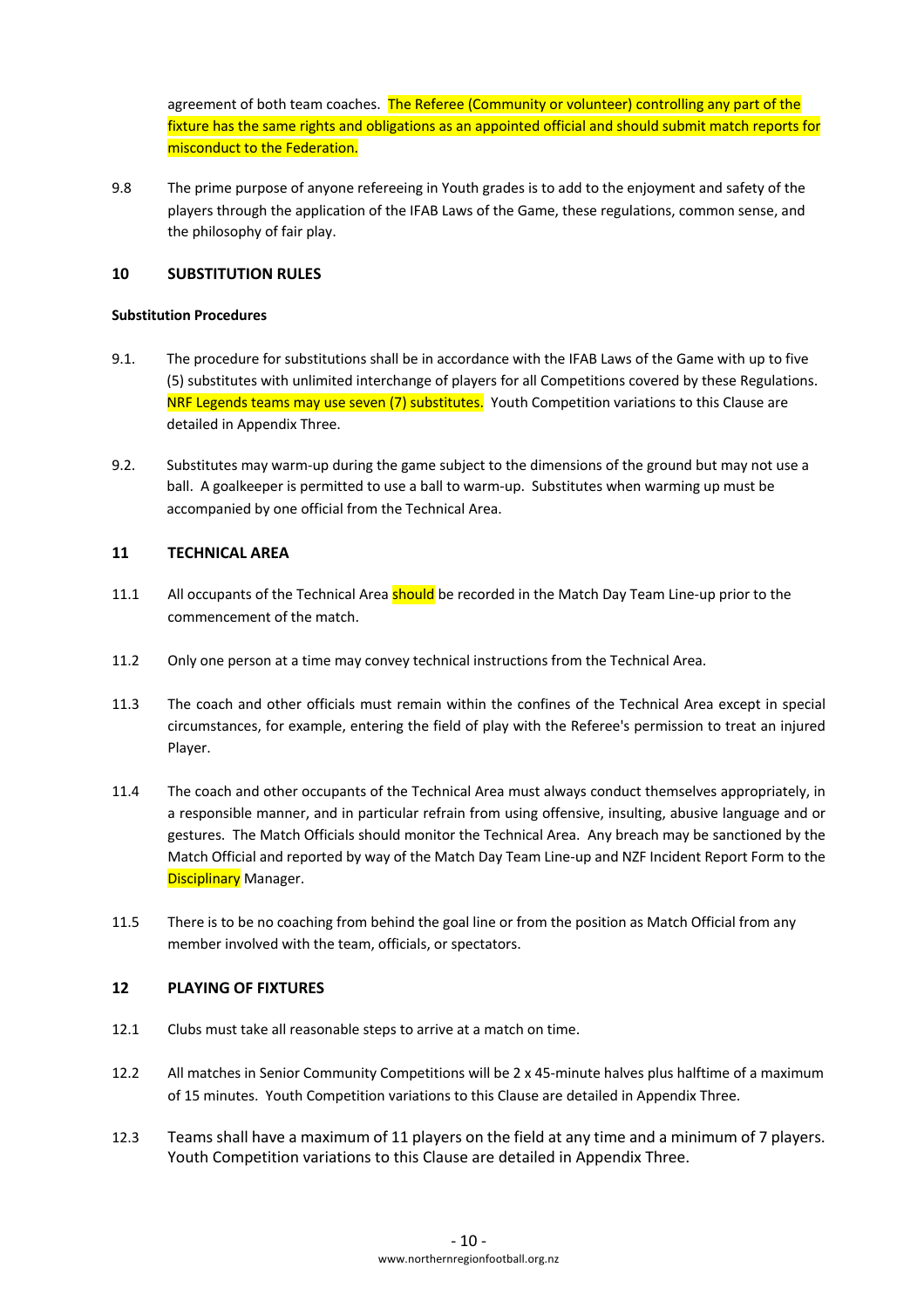agreement of both team coaches. The Referee (Community or volunteer) controlling any part of the fixture has the same rights and obligations as an appointed official and should submit match reports for misconduct to the Federation.

9.8 The prime purpose of anyone refereeing in Youth grades is to add to the enjoyment and safety of the players through the application of the IFAB Laws of the Game, these regulations, common sense, and the philosophy of fair play.

## **10 SUBSTITUTION RULES**

#### **Substitution Procedures**

- 9.1. The procedure for substitutions shall be in accordance with the IFAB Laws of the Game with up to five (5) substitutes with unlimited interchange of players for all Competitions covered by these Regulations. NRF Legends teams may use seven (7) substitutes. Youth Competition variations to this Clause are detailed in Appendix Three.
- 9.2. Substitutes may warm-up during the game subject to the dimensions of the ground but may not use a ball. A goalkeeper is permitted to use a ball to warm-up. Substitutes when warming up must be accompanied by one official from the Technical Area.

## **11 TECHNICAL AREA**

- 11.1 All occupants of the Technical Area should be recorded in the Match Day Team Line-up prior to the commencement of the match.
- 11.2 Only one person at a time may convey technical instructions from the Technical Area.
- 11.3 The coach and other officials must remain within the confines of the Technical Area except in special circumstances, for example, entering the field of play with the Referee's permission to treat an injured Player.
- 11.4 The coach and other occupants of the Technical Area must always conduct themselves appropriately, in a responsible manner, and in particular refrain from using offensive, insulting, abusive language and or gestures. The Match Officials should monitor the Technical Area. Any breach may be sanctioned by the Match Official and reported by way of the Match Day Team Line-up and NZF Incident Report Form to the Disciplinary Manager.
- 11.5 There is to be no coaching from behind the goal line or from the position as Match Official from any member involved with the team, officials, or spectators.

## **12 PLAYING OF FIXTURES**

- 12.1 Clubs must take all reasonable steps to arrive at a match on time.
- 12.2 All matches in Senior Community Competitions will be 2 x 45-minute halves plus halftime of a maximum of 15 minutes. Youth Competition variations to this Clause are detailed in Appendix Three.
- 12.3 Teams shall have a maximum of 11 players on the field at any time and a minimum of 7 players. Youth Competition variations to this Clause are detailed in Appendix Three.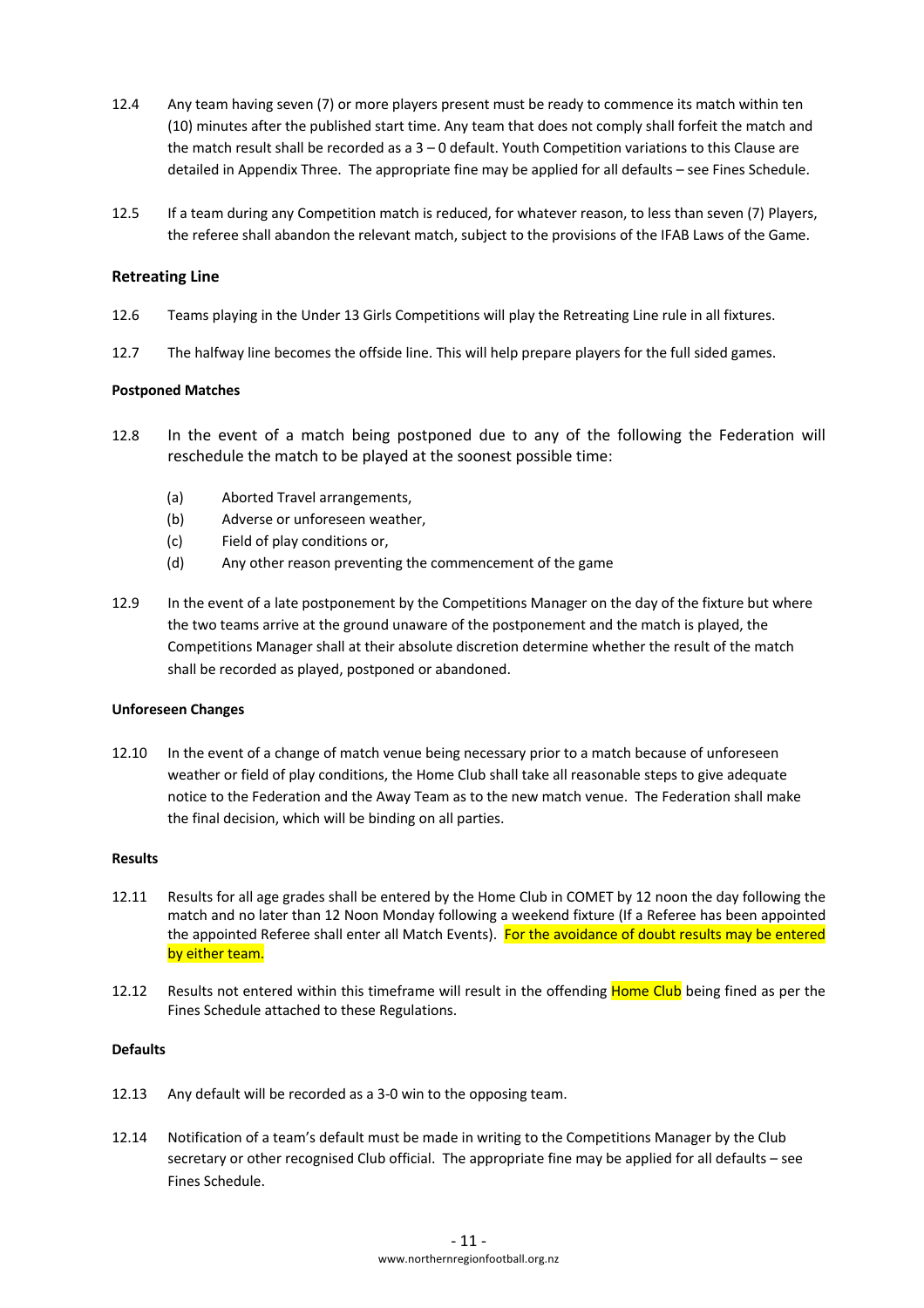- 12.4 Any team having seven (7) or more players present must be ready to commence its match within ten (10) minutes after the published start time. Any team that does not comply shall forfeit the match and the match result shall be recorded as a 3 – 0 default. Youth Competition variations to this Clause are detailed in Appendix Three. The appropriate fine may be applied for all defaults – see Fines Schedule.
- 12.5 If a team during any Competition match is reduced, for whatever reason, to less than seven (7) Players, the referee shall abandon the relevant match, subject to the provisions of the IFAB Laws of the Game.

### **Retreating Line**

- 12.6 Teams playing in the Under 13 Girls Competitions will play the Retreating Line rule in all fixtures.
- 12.7 The halfway line becomes the offside line. This will help prepare players for the full sided games.

#### **Postponed Matches**

- 12.8 In the event of a match being postponed due to any of the following the Federation will reschedule the match to be played at the soonest possible time:
	- (a) Aborted Travel arrangements,
	- (b) Adverse or unforeseen weather,
	- (c) Field of play conditions or,
	- (d) Any other reason preventing the commencement of the game
- 12.9 In the event of a late postponement by the Competitions Manager on the day of the fixture but where the two teams arrive at the ground unaware of the postponement and the match is played, the Competitions Manager shall at their absolute discretion determine whether the result of the match shall be recorded as played, postponed or abandoned.

#### **Unforeseen Changes**

12.10 In the event of a change of match venue being necessary prior to a match because of unforeseen weather or field of play conditions, the Home Club shall take all reasonable steps to give adequate notice to the Federation and the Away Team as to the new match venue. The Federation shall make the final decision, which will be binding on all parties.

#### **Results**

- 12.11 Results for all age grades shall be entered by the Home Club in COMET by 12 noon the day following the match and no later than 12 Noon Monday following a weekend fixture (If a Referee has been appointed the appointed Referee shall enter all Match Events). For the avoidance of doubt results may be entered by either team.
- 12.12 Results not entered within this timeframe will result in the offending Home Club being fined as per the Fines Schedule attached to these Regulations.

#### **Defaults**

- 12.13 Any default will be recorded as a 3-0 win to the opposing team.
- 12.14 Notification of a team's default must be made in writing to the Competitions Manager by the Club secretary or other recognised Club official. The appropriate fine may be applied for all defaults – see Fines Schedule.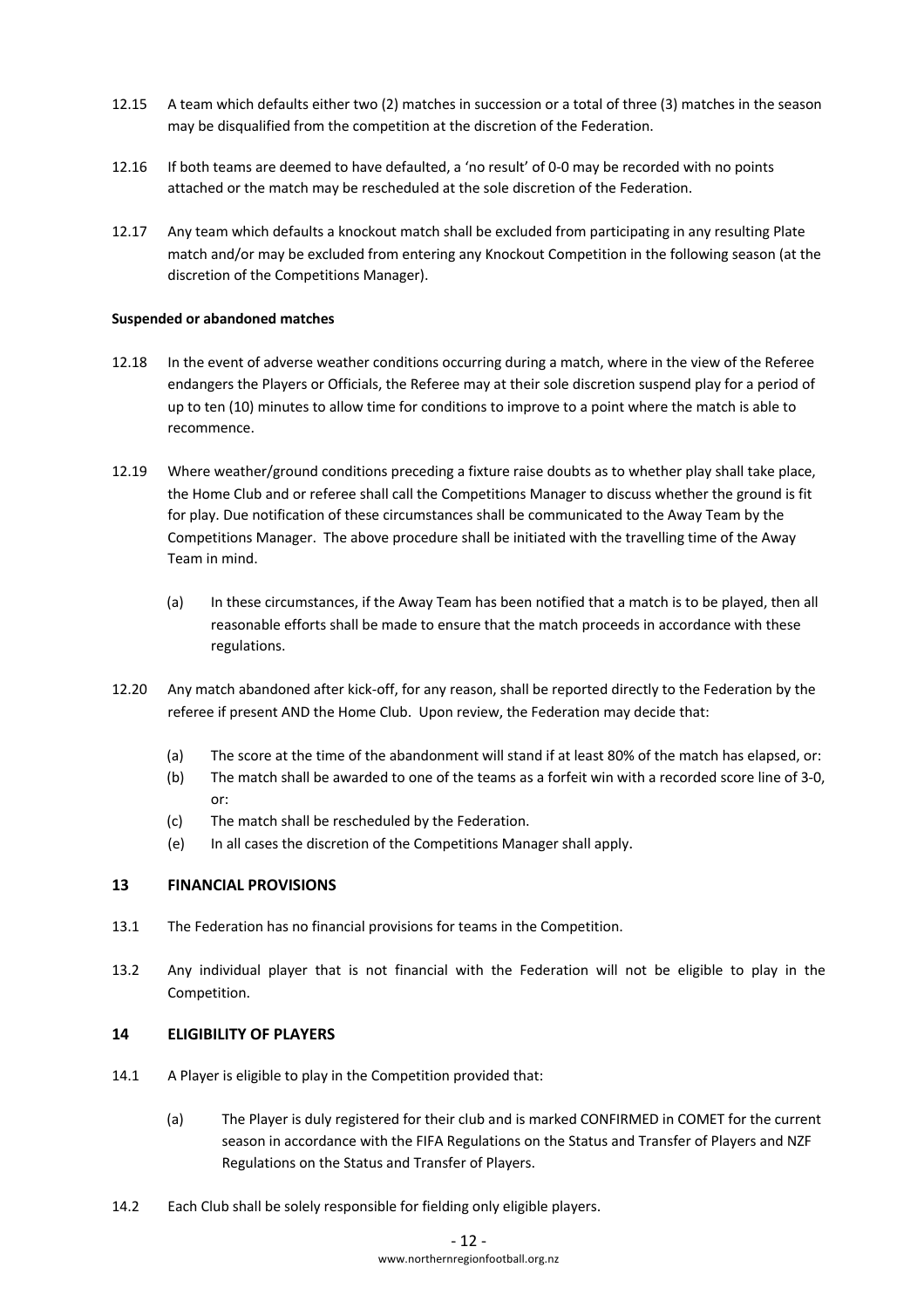- 12.15 A team which defaults either two (2) matches in succession or a total of three (3) matches in the season may be disqualified from the competition at the discretion of the Federation.
- 12.16 If both teams are deemed to have defaulted, a 'no result' of 0-0 may be recorded with no points attached or the match may be rescheduled at the sole discretion of the Federation.
- 12.17 Any team which defaults a knockout match shall be excluded from participating in any resulting Plate match and/or may be excluded from entering any Knockout Competition in the following season (at the discretion of the Competitions Manager).

#### **Suspended or abandoned matches**

- 12.18 In the event of adverse weather conditions occurring during a match, where in the view of the Referee endangers the Players or Officials, the Referee may at their sole discretion suspend play for a period of up to ten (10) minutes to allow time for conditions to improve to a point where the match is able to recommence.
- 12.19 Where weather/ground conditions preceding a fixture raise doubts as to whether play shall take place, the Home Club and or referee shall call the Competitions Manager to discuss whether the ground is fit for play. Due notification of these circumstances shall be communicated to the Away Team by the Competitions Manager. The above procedure shall be initiated with the travelling time of the Away Team in mind.
	- (a) In these circumstances, if the Away Team has been notified that a match is to be played, then all reasonable efforts shall be made to ensure that the match proceeds in accordance with these regulations.
- 12.20 Any match abandoned after kick-off, for any reason, shall be reported directly to the Federation by the referee if present AND the Home Club. Upon review, the Federation may decide that:
	- (a) The score at the time of the abandonment will stand if at least 80% of the match has elapsed, or:
	- (b) The match shall be awarded to one of the teams as a forfeit win with a recorded score line of 3-0, or:
	- (c) The match shall be rescheduled by the Federation.
	- (e) In all cases the discretion of the Competitions Manager shall apply.

#### **13 FINANCIAL PROVISIONS**

- 13.1 The Federation has no financial provisions for teams in the Competition.
- 13.2 Any individual player that is not financial with the Federation will not be eligible to play in the Competition.

#### **14 ELIGIBILITY OF PLAYERS**

- 14.1 A Player is eligible to play in the Competition provided that:
	- (a) The Player is duly registered for their club and is marked CONFIRMED in COMET for the current season in accordance with the FIFA Regulations on the Status and Transfer of Players and NZF Regulations on the Status and Transfer of Players.
- 14.2 Each Club shall be solely responsible for fielding only eligible players.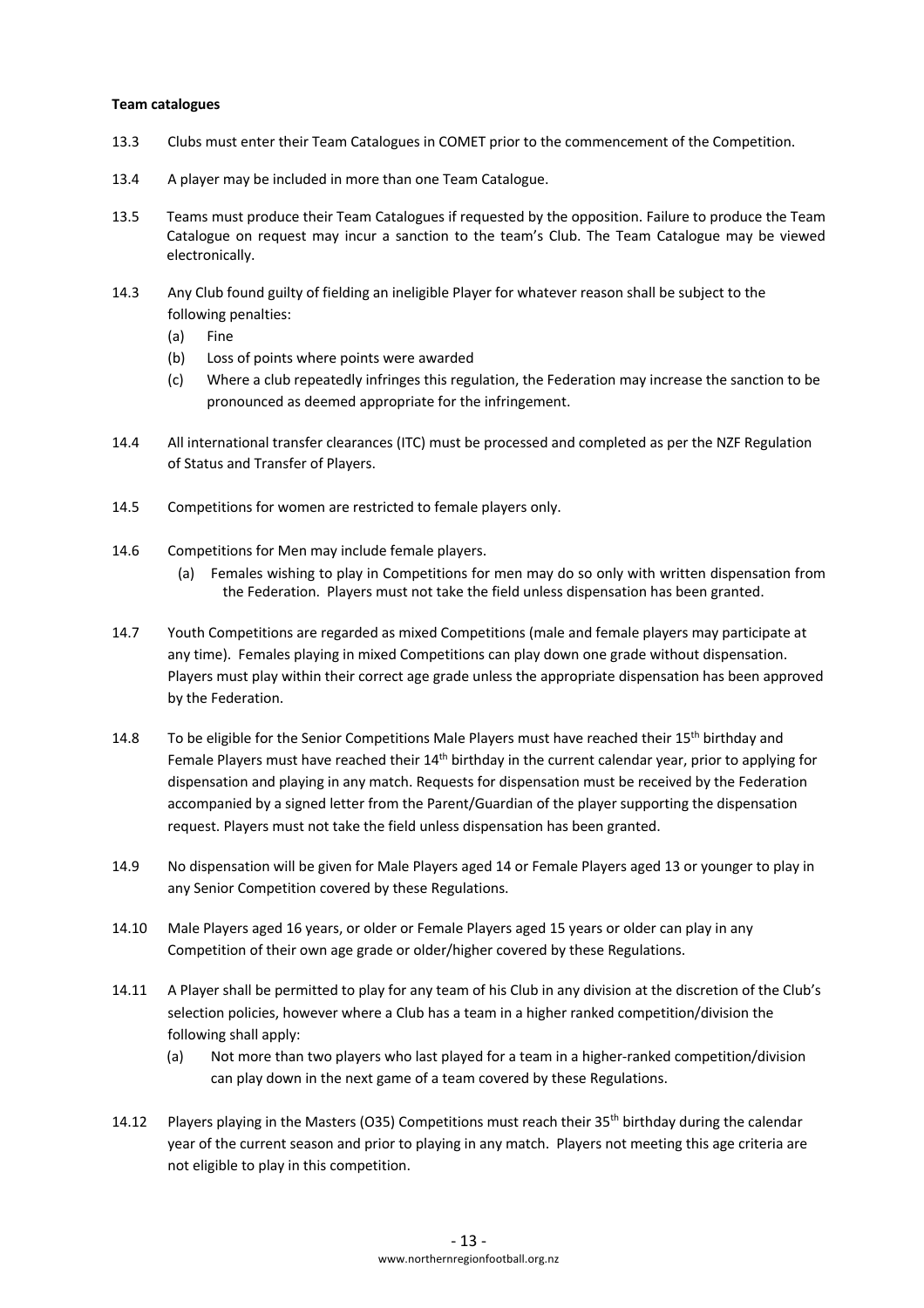#### **Team catalogues**

- 13.3 Clubs must enter their Team Catalogues in COMET prior to the commencement of the Competition.
- 13.4 A player may be included in more than one Team Catalogue.
- 13.5 Teams must produce their Team Catalogues if requested by the opposition. Failure to produce the Team Catalogue on request may incur a sanction to the team's Club. The Team Catalogue may be viewed electronically.
- 14.3 Any Club found guilty of fielding an ineligible Player for whatever reason shall be subject to the following penalties:
	- (a) Fine
	- (b) Loss of points where points were awarded
	- (c) Where a club repeatedly infringes this regulation, the Federation may increase the sanction to be pronounced as deemed appropriate for the infringement.
- 14.4 All international transfer clearances (ITC) must be processed and completed as per the NZF Regulation of Status and Transfer of Players.
- 14.5 Competitions for women are restricted to female players only.
- 14.6 Competitions for Men may include female players.
	- (a) Females wishing to play in Competitions for men may do so only with written dispensation from the Federation. Players must not take the field unless dispensation has been granted.
- 14.7 Youth Competitions are regarded as mixed Competitions (male and female players may participate at any time). Females playing in mixed Competitions can play down one grade without dispensation. Players must play within their correct age grade unless the appropriate dispensation has been approved by the Federation.
- 14.8 To be eligible for the Senior Competitions Male Players must have reached their 15<sup>th</sup> birthday and Female Players must have reached their 14th birthday in the current calendar year, prior to applying for dispensation and playing in any match. Requests for dispensation must be received by the Federation accompanied by a signed letter from the Parent/Guardian of the player supporting the dispensation request. Players must not take the field unless dispensation has been granted.
- 14.9 No dispensation will be given for Male Players aged 14 or Female Players aged 13 or younger to play in any Senior Competition covered by these Regulations.
- 14.10 Male Players aged 16 years, or older or Female Players aged 15 years or older can play in any Competition of their own age grade or older/higher covered by these Regulations.
- 14.11 A Player shall be permitted to play for any team of his Club in any division at the discretion of the Club's selection policies, however where a Club has a team in a higher ranked competition/division the following shall apply:
	- (a) Not more than two players who last played for a team in a higher-ranked competition/division can play down in the next game of a team covered by these Regulations.
- 14.12 Players playing in the Masters (035) Competitions must reach their 35<sup>th</sup> birthday during the calendar year of the current season and prior to playing in any match. Players not meeting this age criteria are not eligible to play in this competition.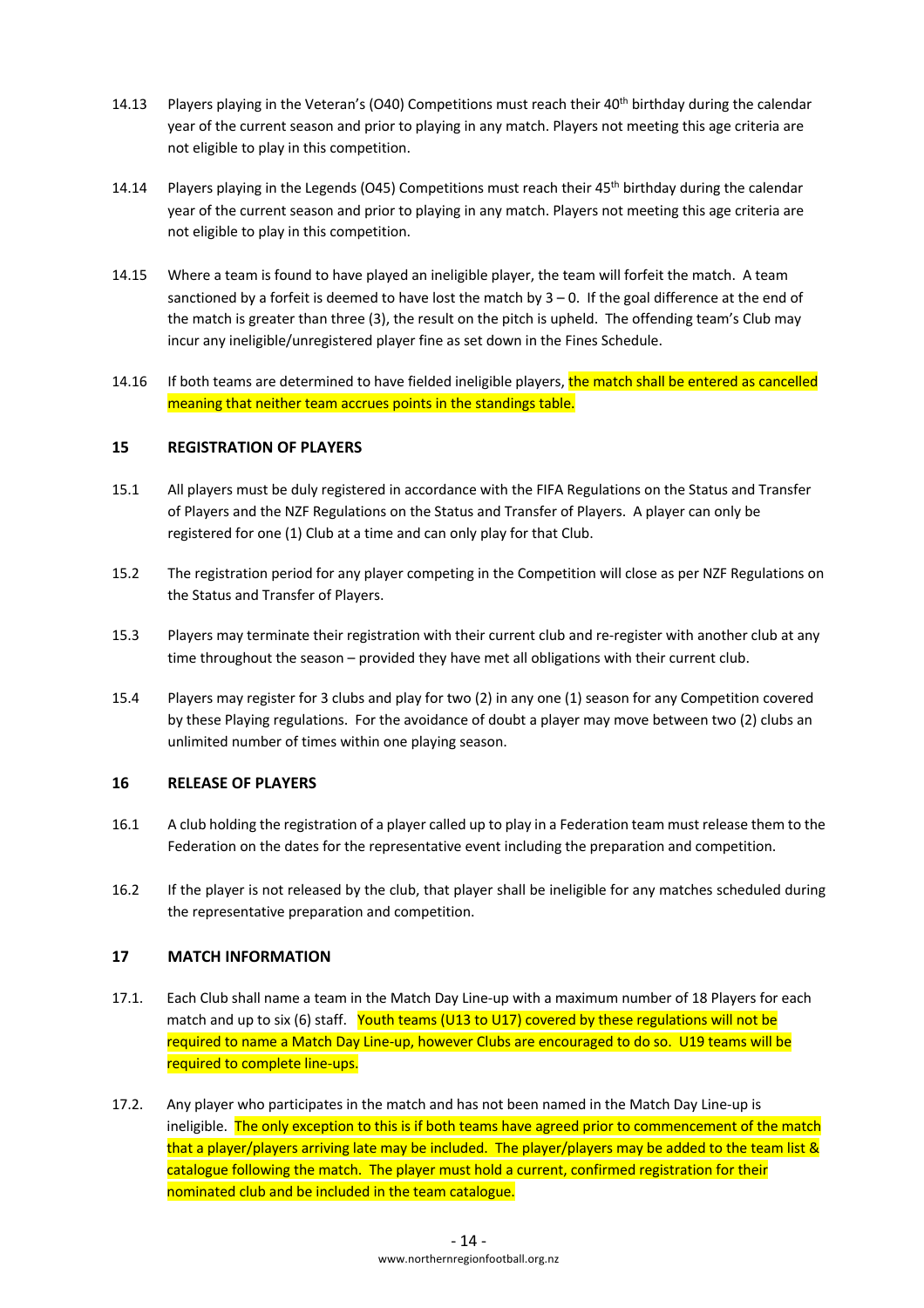- 14.13 Players playing in the Veteran's (O40) Competitions must reach their  $40<sup>th</sup>$  birthday during the calendar year of the current season and prior to playing in any match. Players not meeting this age criteria are not eligible to play in this competition.
- 14.14 Players playing in the Legends (045) Competitions must reach their 45<sup>th</sup> birthday during the calendar year of the current season and prior to playing in any match. Players not meeting this age criteria are not eligible to play in this competition.
- 14.15 Where a team is found to have played an ineligible player, the team will forfeit the match. A team sanctioned by a forfeit is deemed to have lost the match by  $3 - 0$ . If the goal difference at the end of the match is greater than three (3), the result on the pitch is upheld. The offending team's Club may incur any ineligible/unregistered player fine as set down in the Fines Schedule.
- 14.16 If both teams are determined to have fielded ineligible players, the match shall be entered as cancelled meaning that neither team accrues points in the standings table.

## **15 REGISTRATION OF PLAYERS**

- 15.1 All players must be duly registered in accordance with the FIFA Regulations on the Status and Transfer of Players and the NZF Regulations on the Status and Transfer of Players. A player can only be registered for one (1) Club at a time and can only play for that Club.
- 15.2 The registration period for any player competing in the Competition will close as per NZF Regulations on the Status and Transfer of Players.
- 15.3 Players may terminate their registration with their current club and re-register with another club at any time throughout the season – provided they have met all obligations with their current club.
- 15.4 Players may register for 3 clubs and play for two (2) in any one (1) season for any Competition covered by these Playing regulations. For the avoidance of doubt a player may move between two (2) clubs an unlimited number of times within one playing season.

#### **16 RELEASE OF PLAYERS**

- 16.1 A club holding the registration of a player called up to play in a Federation team must release them to the Federation on the dates for the representative event including the preparation and competition.
- 16.2 If the player is not released by the club, that player shall be ineligible for any matches scheduled during the representative preparation and competition.

#### **17 MATCH INFORMATION**

- 17.1. Each Club shall name a team in the Match Day Line-up with a maximum number of 18 Players for each match and up to six (6) staff. Youth teams (U13 to U17) covered by these regulations will not be required to name a Match Day Line-up, however Clubs are encouraged to do so. U19 teams will be required to complete line-ups.
- 17.2. Any player who participates in the match and has not been named in the Match Day Line-up is ineligible. The only exception to this is if both teams have agreed prior to commencement of the match that a player/players arriving late may be included. The player/players may be added to the team list & catalogue following the match. The player must hold a current, confirmed registration for their nominated club and be included in the team catalogue.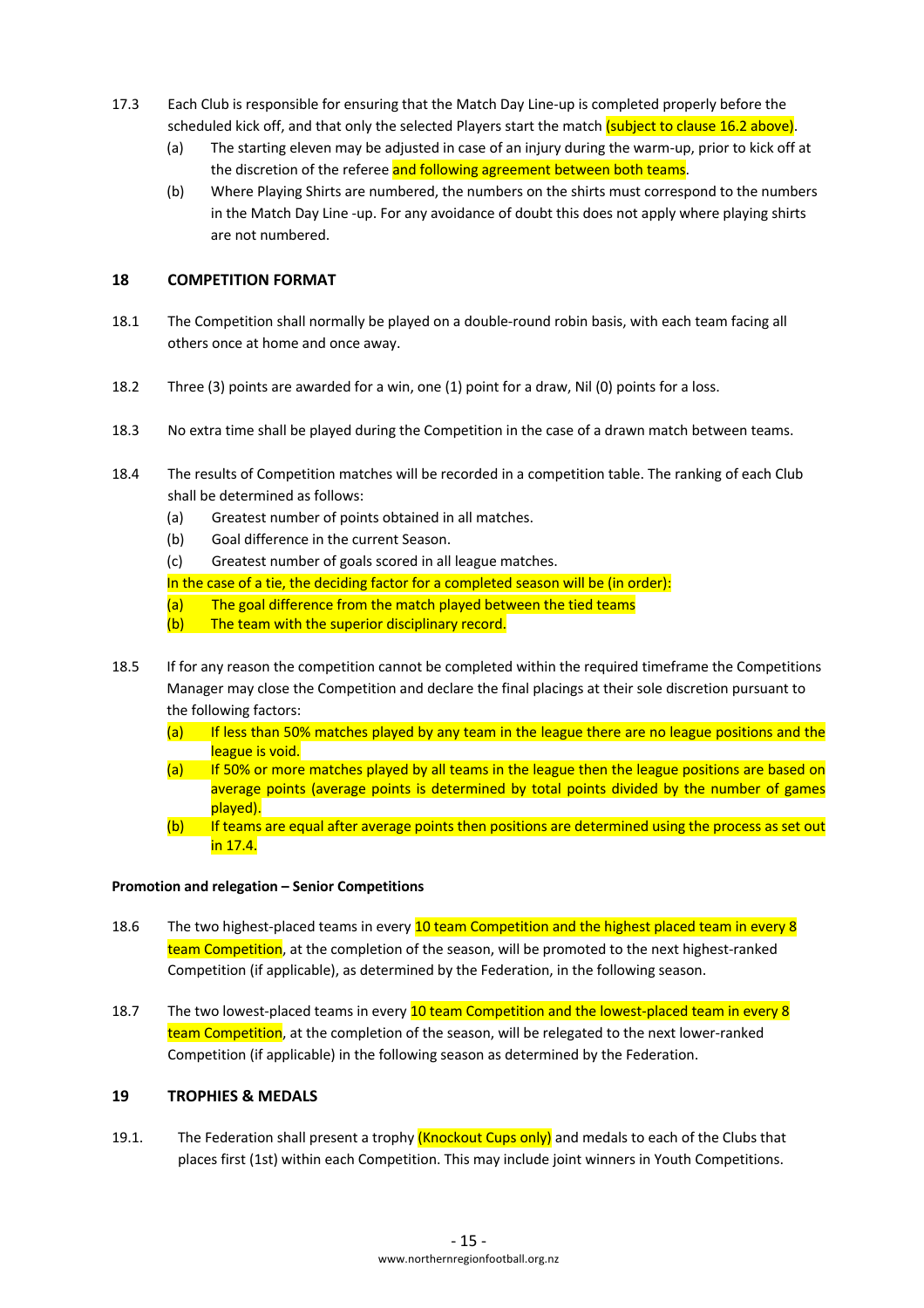- 17.3 Each Club is responsible for ensuring that the Match Day Line-up is completed properly before the scheduled kick off, and that only the selected Players start the match (subject to clause 16.2 above).
	- (a) The starting eleven may be adjusted in case of an injury during the warm-up, prior to kick off at the discretion of the referee and following agreement between both teams.
	- (b) Where Playing Shirts are numbered, the numbers on the shirts must correspond to the numbers in the Match Day Line -up. For any avoidance of doubt this does not apply where playing shirts are not numbered.

## **18 COMPETITION FORMAT**

- 18.1 The Competition shall normally be played on a double-round robin basis, with each team facing all others once at home and once away.
- 18.2 Three (3) points are awarded for a win, one (1) point for a draw, Nil (0) points for a loss.
- 18.3 No extra time shall be played during the Competition in the case of a drawn match between teams.
- 18.4 The results of Competition matches will be recorded in a competition table. The ranking of each Club shall be determined as follows:
	- (a) Greatest number of points obtained in all matches.
	- (b) Goal difference in the current Season.
	- (c) Greatest number of goals scored in all league matches.

In the case of a tie, the deciding factor for a completed season will be (in order):

- (a) The goal difference from the match played between the tied teams
- (b) The team with the superior disciplinary record.
- 18.5 If for any reason the competition cannot be completed within the required timeframe the Competitions Manager may close the Competition and declare the final placings at their sole discretion pursuant to the following factors:
	- (a) If less than 50% matches played by any team in the league there are no league positions and the league is void.
	- (a) If 50% or more matches played by all teams in the league then the league positions are based on average points (average points is determined by total points divided by the number of games played).
	- (b) If teams are equal after average points then positions are determined using the process as set out in 17.4.

#### **Promotion and relegation – Senior Competitions**

- 18.6 The two highest-placed teams in every 10 team Competition and the highest placed team in every 8 team Competition, at the completion of the season, will be promoted to the next highest-ranked Competition (if applicable), as determined by the Federation, in the following season.
- 18.7 The two lowest-placed teams in every 10 team Competition and the lowest-placed team in every 8 team Competition, at the completion of the season, will be relegated to the next lower-ranked Competition (if applicable) in the following season as determined by the Federation.

## **19 TROPHIES & MEDALS**

19.1. The Federation shall present a trophy *(Knockout Cups only)* and medals to each of the Clubs that places first (1st) within each Competition. This may include joint winners in Youth Competitions.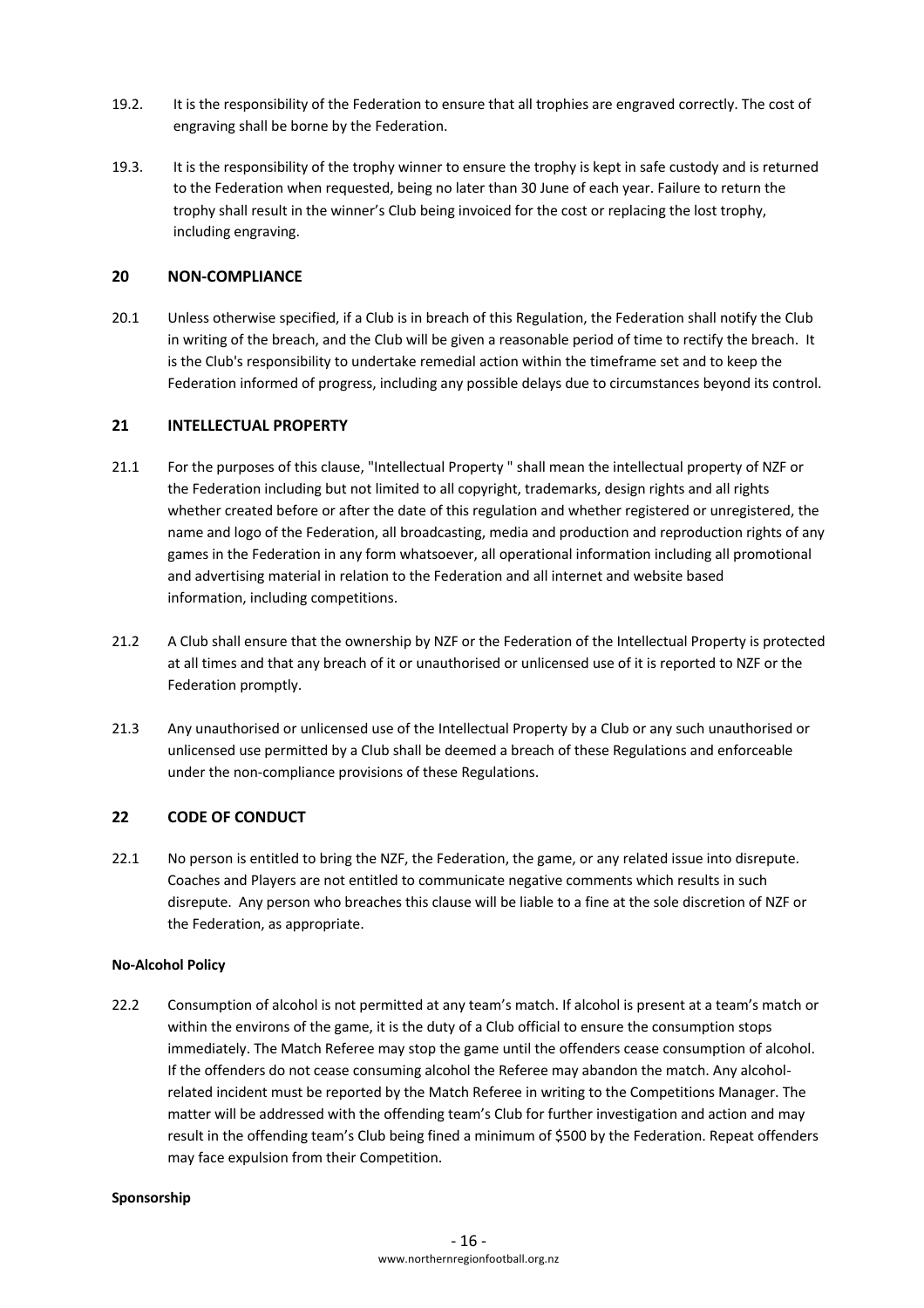- 19.2. It is the responsibility of the Federation to ensure that all trophies are engraved correctly. The cost of engraving shall be borne by the Federation.
- 19.3. It is the responsibility of the trophy winner to ensure the trophy is kept in safe custody and is returned to the Federation when requested, being no later than 30 June of each year. Failure to return the trophy shall result in the winner's Club being invoiced for the cost or replacing the lost trophy, including engraving.

## **20 NON-COMPLIANCE**

20.1 Unless otherwise specified, if a Club is in breach of this Regulation, the Federation shall notify the Club in writing of the breach, and the Club will be given a reasonable period of time to rectify the breach. It is the Club's responsibility to undertake remedial action within the timeframe set and to keep the Federation informed of progress, including any possible delays due to circumstances beyond its control.

## **21 INTELLECTUAL PROPERTY**

- 21.1 For the purposes of this clause, "Intellectual Property " shall mean the intellectual property of NZF or the Federation including but not limited to all copyright, trademarks, design rights and all rights whether created before or after the date of this regulation and whether registered or unregistered, the name and logo of the Federation, all broadcasting, media and production and reproduction rights of any games in the Federation in any form whatsoever, all operational information including all promotional and advertising material in relation to the Federation and all internet and website based information, including competitions.
- 21.2 A Club shall ensure that the ownership by NZF or the Federation of the Intellectual Property is protected at all times and that any breach of it or unauthorised or unlicensed use of it is reported to NZF or the Federation promptly.
- 21.3 Any unauthorised or unlicensed use of the Intellectual Property by a Club or any such unauthorised or unlicensed use permitted by a Club shall be deemed a breach of these Regulations and enforceable under the non-compliance provisions of these Regulations.

#### **22 CODE OF CONDUCT**

22.1 No person is entitled to bring the NZF, the Federation, the game, or any related issue into disrepute. Coaches and Players are not entitled to communicate negative comments which results in such disrepute. Any person who breaches this clause will be liable to a fine at the sole discretion of NZF or the Federation, as appropriate.

#### **No-Alcohol Policy**

22.2 Consumption of alcohol is not permitted at any team's match. If alcohol is present at a team's match or within the environs of the game, it is the duty of a Club official to ensure the consumption stops immediately. The Match Referee may stop the game until the offenders cease consumption of alcohol. If the offenders do not cease consuming alcohol the Referee may abandon the match. Any alcoholrelated incident must be reported by the Match Referee in writing to the Competitions Manager. The matter will be addressed with the offending team's Club for further investigation and action and may result in the offending team's Club being fined a minimum of \$500 by the Federation. Repeat offenders may face expulsion from their Competition.

#### **Sponsorship**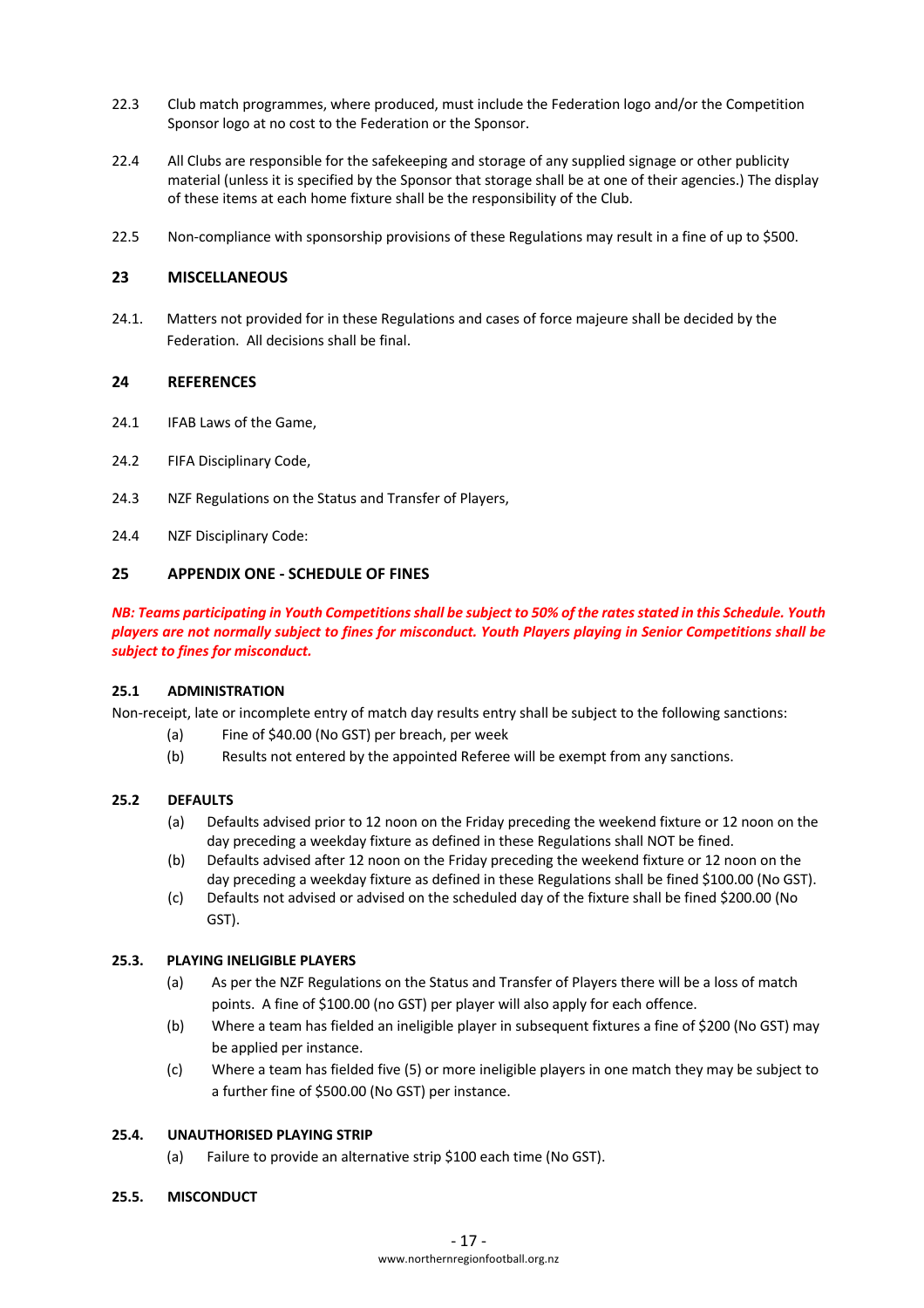- 22.3 Club match programmes, where produced, must include the Federation logo and/or the Competition Sponsor logo at no cost to the Federation or the Sponsor.
- 22.4 All Clubs are responsible for the safekeeping and storage of any supplied signage or other publicity material (unless it is specified by the Sponsor that storage shall be at one of their agencies.) The display of these items at each home fixture shall be the responsibility of the Club.
- 22.5 Non-compliance with sponsorship provisions of these Regulations may result in a fine of up to \$500.

## **23 MISCELLANEOUS**

24.1. Matters not provided for in these Regulations and cases of force majeure shall be decided by the Federation. All decisions shall be final.

## **24 REFERENCES**

- 24.1 **IFAB Laws of the Game.**
- 24.2 FIFA Disciplinary Code,
- 24.3 NZF Regulations on the Status and Transfer of Players,
- 24.4 NZF Disciplinary Code:

## **25 APPENDIX ONE - SCHEDULE OF FINES**

*NB: Teams participating in Youth Competitions shall be subject to 50% of the rates stated in this Schedule. Youth players are not normally subject to fines for misconduct. Youth Players playing in Senior Competitions shall be subject to fines for misconduct.*

#### **25.1 ADMINISTRATION**

Non-receipt, late or incomplete entry of match day results entry shall be subject to the following sanctions:

- (a) Fine of \$40.00 (No GST) per breach, per week
- (b) Results not entered by the appointed Referee will be exempt from any sanctions.

#### **25.2 DEFAULTS**

- (a) Defaults advised prior to 12 noon on the Friday preceding the weekend fixture or 12 noon on the day preceding a weekday fixture as defined in these Regulations shall NOT be fined.
- (b) Defaults advised after 12 noon on the Friday preceding the weekend fixture or 12 noon on the day preceding a weekday fixture as defined in these Regulations shall be fined \$100.00 (No GST).
- (c) Defaults not advised or advised on the scheduled day of the fixture shall be fined \$200.00 (No GST).

## **25.3. PLAYING INELIGIBLE PLAYERS**

- (a) As per the NZF Regulations on the Status and Transfer of Players there will be a loss of match points. A fine of \$100.00 (no GST) per player will also apply for each offence.
- (b) Where a team has fielded an ineligible player in subsequent fixtures a fine of \$200 (No GST) may be applied per instance.
- (c) Where a team has fielded five (5) or more ineligible players in one match they may be subject to a further fine of \$500.00 (No GST) per instance.

### **25.4. UNAUTHORISED PLAYING STRIP**

(a) Failure to provide an alternative strip \$100 each time (No GST).

## **25.5. MISCONDUCT**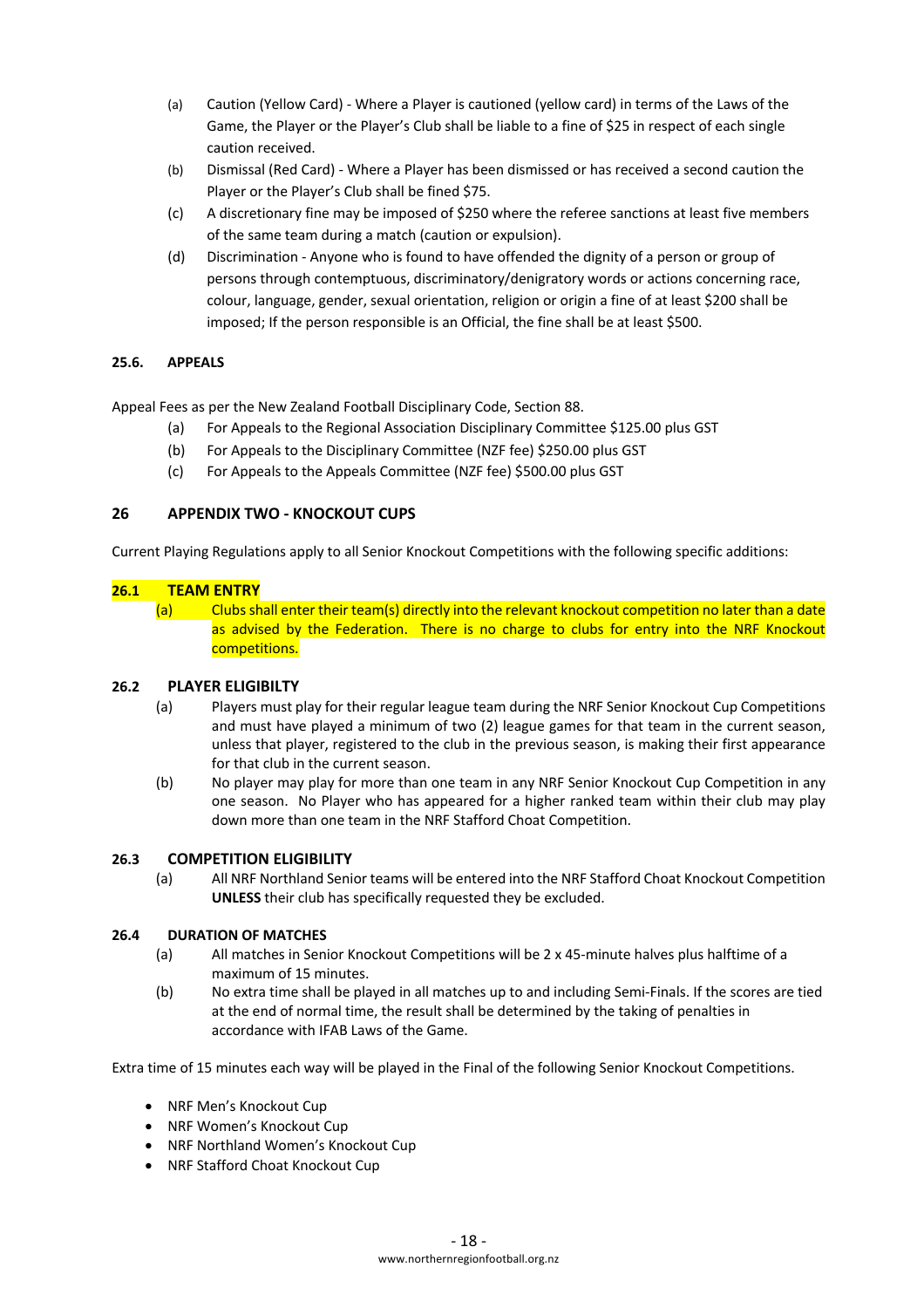- (a) Caution (Yellow Card) Where a Player is cautioned (yellow card) in terms of the Laws of the Game, the Player or the Player's Club shall be liable to a fine of \$25 in respect of each single caution received.
- (b) Dismissal (Red Card) Where a Player has been dismissed or has received a second caution the Player or the Player's Club shall be fined \$75.
- (c) A discretionary fine may be imposed of \$250 where the referee sanctions at least five members of the same team during a match (caution or expulsion).
- (d) Discrimination Anyone who is found to have offended the dignity of a person or group of persons through contemptuous, discriminatory/denigratory words or actions concerning race, colour, language, gender, sexual orientation, religion or origin a fine of at least \$200 shall be imposed; If the person responsible is an Official, the fine shall be at least \$500.

## **25.6. APPEALS**

Appeal Fees as per the New Zealand Football Disciplinary Code, Section 88.

- (a) For Appeals to the Regional Association Disciplinary Committee \$125.00 plus GST
- (b) For Appeals to the Disciplinary Committee (NZF fee) \$250.00 plus GST
- (c) For Appeals to the Appeals Committee (NZF fee) \$500.00 plus GST

## **26 APPENDIX TWO - KNOCKOUT CUPS**

Current Playing Regulations apply to all Senior Knockout Competitions with the following specific additions:

## **26.1 TEAM ENTRY**

(a) Clubs shall enter their team(s) directly into the relevant knockout competition no later than a date as advised by the Federation. There is no charge to clubs for entry into the NRF Knockout competitions.

## **26.2 PLAYER ELIGIBILTY**

- (a) Players must play for their regular league team during the NRF Senior Knockout Cup Competitions and must have played a minimum of two (2) league games for that team in the current season, unless that player, registered to the club in the previous season, is making their first appearance for that club in the current season.
- (b) No player may play for more than one team in any NRF Senior Knockout Cup Competition in any one season. No Player who has appeared for a higher ranked team within their club may play down more than one team in the NRF Stafford Choat Competition.

## **26.3 COMPETITION ELIGIBILITY**

(a) All NRF Northland Senior teams will be entered into the NRF Stafford Choat Knockout Competition **UNLESS** their club has specifically requested they be excluded.

## **26.4 DURATION OF MATCHES**

- (a) All matches in Senior Knockout Competitions will be 2 x 45-minute halves plus halftime of a maximum of 15 minutes.
- (b) No extra time shall be played in all matches up to and including Semi-Finals. If the scores are tied at the end of normal time, the result shall be determined by the taking of penalties in accordance with IFAB Laws of the Game.

Extra time of 15 minutes each way will be played in the Final of the following Senior Knockout Competitions.

- NRF Men's Knockout Cup
- NRF Women's Knockout Cup
- NRF Northland Women's Knockout Cup
- NRF Stafford Choat Knockout Cup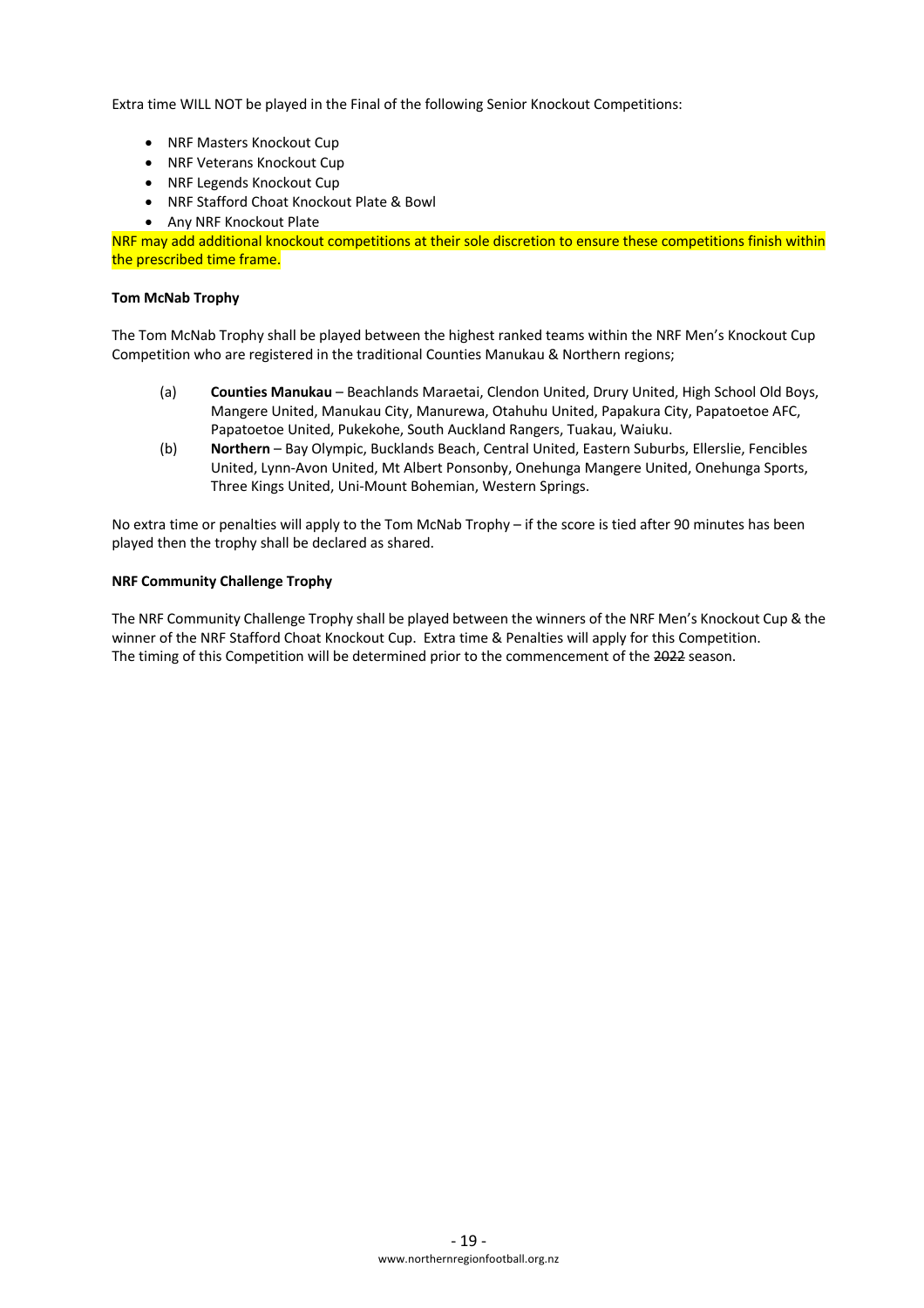Extra time WILL NOT be played in the Final of the following Senior Knockout Competitions:

- NRF Masters Knockout Cup
- NRF Veterans Knockout Cup
- NRF Legends Knockout Cup
- NRF Stafford Choat Knockout Plate & Bowl
- Any NRF Knockout Plate

NRF may add additional knockout competitions at their sole discretion to ensure these competitions finish within the prescribed time frame.

#### **Tom McNab Trophy**

The Tom McNab Trophy shall be played between the highest ranked teams within the NRF Men's Knockout Cup Competition who are registered in the traditional Counties Manukau & Northern regions;

- (a) **Counties Manukau** Beachlands Maraetai, Clendon United, Drury United, High School Old Boys, Mangere United, Manukau City, Manurewa, Otahuhu United, Papakura City, Papatoetoe AFC, Papatoetoe United, Pukekohe, South Auckland Rangers, Tuakau, Waiuku.
- (b) **Northern** Bay Olympic, Bucklands Beach, Central United, Eastern Suburbs, Ellerslie, Fencibles United, Lynn-Avon United, Mt Albert Ponsonby, Onehunga Mangere United, Onehunga Sports, Three Kings United, Uni-Mount Bohemian, Western Springs.

No extra time or penalties will apply to the Tom McNab Trophy – if the score is tied after 90 minutes has been played then the trophy shall be declared as shared.

#### **NRF Community Challenge Trophy**

The NRF Community Challenge Trophy shall be played between the winners of the NRF Men's Knockout Cup & the winner of the NRF Stafford Choat Knockout Cup. Extra time & Penalties will apply for this Competition. The timing of this Competition will be determined prior to the commencement of the 2022 season.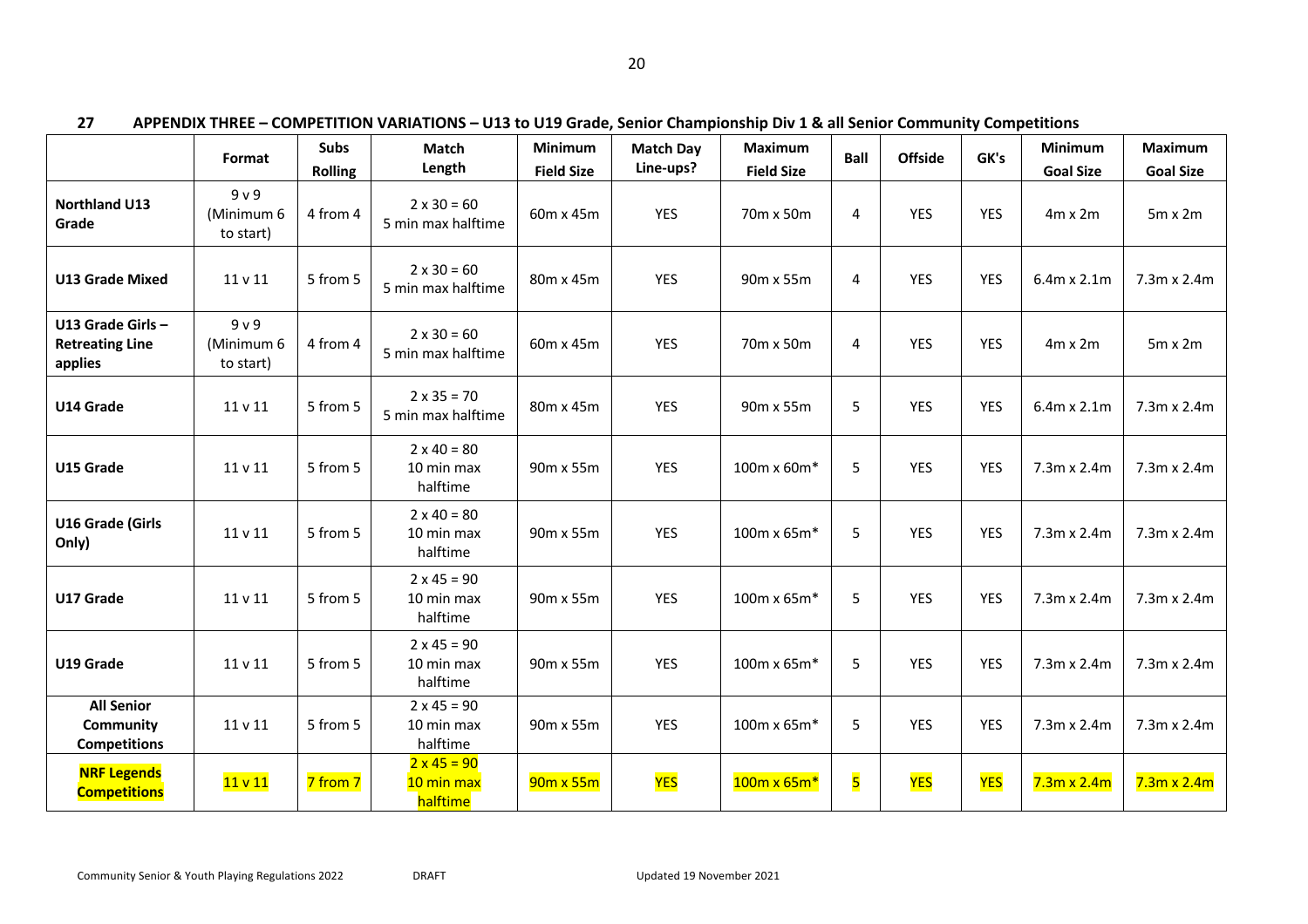|                                                       | Format                                    | <b>Subs</b><br><b>Rolling</b> | Match<br>Length                              | Minimum<br><b>Field Size</b> | <b>Match Day</b><br>Line-ups? | <b>Maximum</b><br><b>Field Size</b> | <b>Ball</b>             | <b>Offside</b> | GK's       | Minimum<br><b>Goal Size</b> | <b>Maximum</b><br><b>Goal Size</b> |
|-------------------------------------------------------|-------------------------------------------|-------------------------------|----------------------------------------------|------------------------------|-------------------------------|-------------------------------------|-------------------------|----------------|------------|-----------------------------|------------------------------------|
| <b>Northland U13</b><br>Grade                         | 9 <sub>v</sub><br>(Minimum 6<br>to start) | 4 from 4                      | $2 \times 30 = 60$<br>5 min max halftime     | 60m x 45m                    | YES                           | 70m x 50m                           | 4                       | <b>YES</b>     | <b>YES</b> | $4m \times 2m$              | $5m \times 2m$                     |
| <b>U13 Grade Mixed</b>                                | 11 v 11                                   | 5 from 5                      | $2 \times 30 = 60$<br>5 min max halftime     | 80m x 45m                    | <b>YES</b>                    | 90m x 55m                           | 4                       | <b>YES</b>     | <b>YES</b> | 6.4m x 2.1m                 | 7.3m x 2.4m                        |
| U13 Grade Girls-<br><b>Retreating Line</b><br>applies | 9 <sub>v</sub><br>(Minimum 6<br>to start) | 4 from 4                      | $2 \times 30 = 60$<br>5 min max halftime     | 60m x 45m                    | <b>YES</b>                    | 70m x 50m                           | 4                       | <b>YES</b>     | <b>YES</b> | $4m \times 2m$              | $5m \times 2m$                     |
| U14 Grade                                             | 11 v 11                                   | 5 from 5                      | $2 \times 35 = 70$<br>5 min max halftime     | 80m x 45m                    | <b>YES</b>                    | 90m x 55m                           | 5                       | <b>YES</b>     | <b>YES</b> | 6.4m x 2.1m                 | 7.3m x 2.4m                        |
| U15 Grade                                             | 11 v 11                                   | 5 from 5                      | $2 \times 40 = 80$<br>10 min max<br>halftime | 90m x 55m                    | <b>YES</b>                    | 100m x 60m*                         | 5                       | <b>YES</b>     | <b>YES</b> | 7.3m x 2.4m                 | 7.3m x 2.4m                        |
| U16 Grade (Girls<br>Only)                             | 11 v 11                                   | 5 from 5                      | $2 \times 40 = 80$<br>10 min max<br>halftime | 90m x 55m                    | <b>YES</b>                    | 100m x 65m*                         | 5                       | <b>YES</b>     | <b>YES</b> | 7.3m x 2.4m                 | 7.3m x 2.4m                        |
| U17 Grade                                             | 11 v 11                                   | 5 from 5                      | $2 \times 45 = 90$<br>10 min max<br>halftime | 90m x 55m                    | <b>YES</b>                    | 100m x 65m*                         | 5                       | <b>YES</b>     | <b>YES</b> | 7.3m x 2.4m                 | 7.3m x 2.4m                        |
| U19 Grade                                             | 11 v 11                                   | 5 from 5                      | $2 \times 45 = 90$<br>10 min max<br>halftime | 90m x 55m                    | <b>YES</b>                    | $100m \times 65m*$                  | 5                       | <b>YES</b>     | <b>YES</b> | 7.3m x 2.4m                 | 7.3m x 2.4m                        |
| <b>All Senior</b><br>Community<br><b>Competitions</b> | $11$ v $11$                               | 5 from 5                      | $2 \times 45 = 90$<br>10 min max<br>halftime | 90m x 55m                    | <b>YES</b>                    | $100m \times 65m*$                  | 5                       | <b>YES</b>     | <b>YES</b> | 7.3m x 2.4m                 | $7.3m \times 2.4m$                 |
| <b>NRF Legends</b><br><b>Competitions</b>             | 11 v 11                                   | 7 from 7                      | $2 \times 45 = 90$<br>10 min max<br>halftime | $90m \times 55m$             | <b>YES</b>                    | $100m \times 65m*$                  | $\overline{\mathbf{5}}$ | <b>YES</b>     | <b>YES</b> | $7.3m \times 2.4m$          | $7.3m \times 2.4m$                 |

**27 APPENDIX THREE – COMPETITION VARIATIONS – U13 to U19 Grade, Senior Championship Div 1 & all Senior Community Competitions**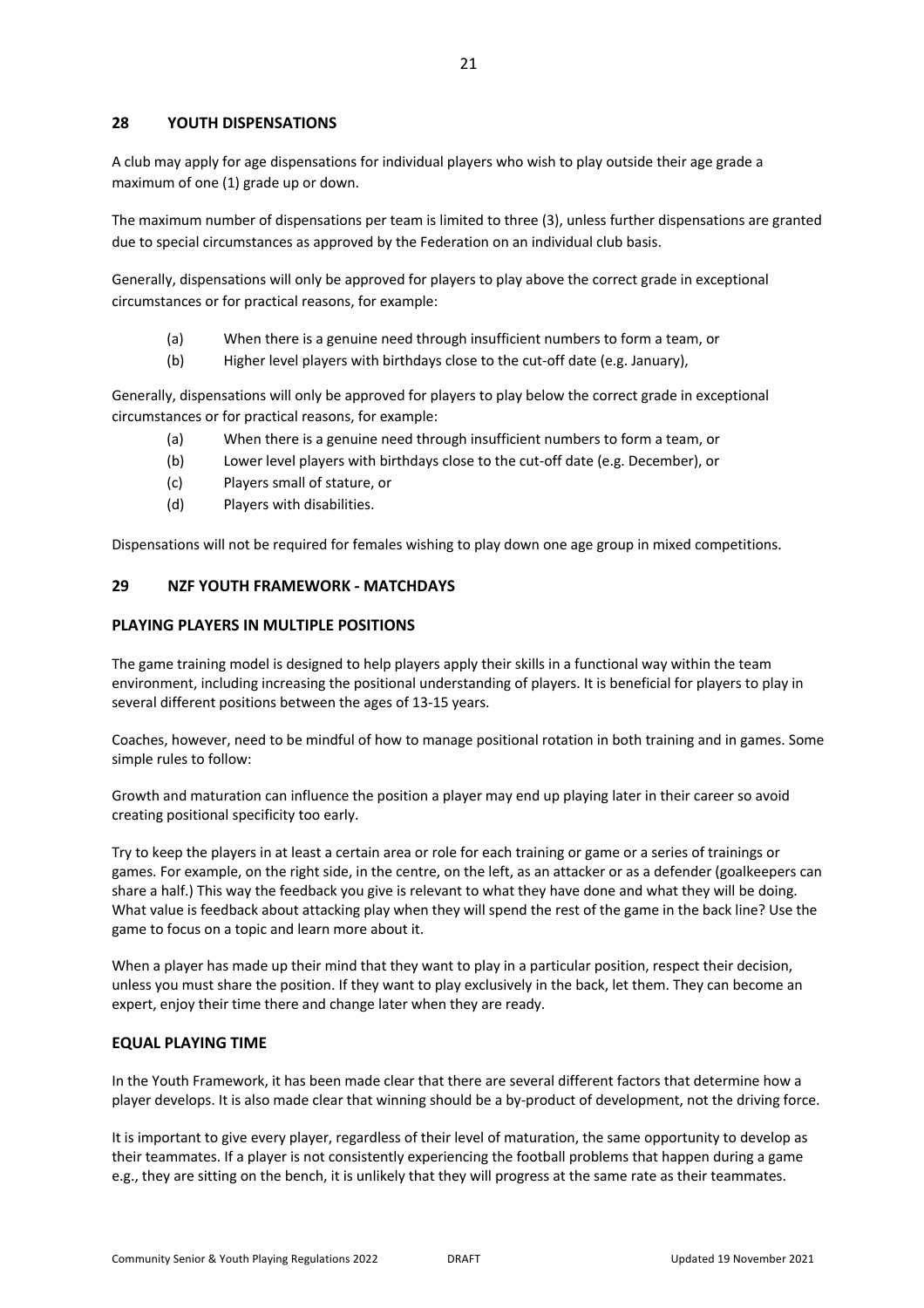## **28 YOUTH DISPENSATIONS**

A club may apply for age dispensations for individual players who wish to play outside their age grade a maximum of one (1) grade up or down.

The maximum number of dispensations per team is limited to three (3), unless further dispensations are granted due to special circumstances as approved by the Federation on an individual club basis.

Generally, dispensations will only be approved for players to play above the correct grade in exceptional circumstances or for practical reasons, for example:

- (a) When there is a genuine need through insufficient numbers to form a team, or
- (b) Higher level players with birthdays close to the cut-off date (e.g. January),

Generally, dispensations will only be approved for players to play below the correct grade in exceptional circumstances or for practical reasons, for example:

- (a) When there is a genuine need through insufficient numbers to form a team, or
- (b) Lower level players with birthdays close to the cut-off date (e.g. December), or
- (c) Players small of stature, or
- (d) Players with disabilities.

Dispensations will not be required for females wishing to play down one age group in mixed competitions.

## **29 NZF YOUTH FRAMEWORK - MATCHDAYS**

## **PLAYING PLAYERS IN MULTIPLE POSITIONS**

The game training model is designed to help players apply their skills in a functional way within the team environment, including increasing the positional understanding of players. It is beneficial for players to play in several different positions between the ages of 13-15 years.

Coaches, however, need to be mindful of how to manage positional rotation in both training and in games. Some simple rules to follow:

Growth and maturation can influence the position a player may end up playing later in their career so avoid creating positional specificity too early.

Try to keep the players in at least a certain area or role for each training or game or a series of trainings or games. For example, on the right side, in the centre, on the left, as an attacker or as a defender (goalkeepers can share a half.) This way the feedback you give is relevant to what they have done and what they will be doing. What value is feedback about attacking play when they will spend the rest of the game in the back line? Use the game to focus on a topic and learn more about it.

When a player has made up their mind that they want to play in a particular position, respect their decision, unless you must share the position. If they want to play exclusively in the back, let them. They can become an expert, enjoy their time there and change later when they are ready.

#### **EQUAL PLAYING TIME**

In the Youth Framework, it has been made clear that there are several different factors that determine how a player develops. It is also made clear that winning should be a by-product of development, not the driving force.

It is important to give every player, regardless of their level of maturation, the same opportunity to develop as their teammates. If a player is not consistently experiencing the football problems that happen during a game e.g., they are sitting on the bench, it is unlikely that they will progress at the same rate as their teammates.